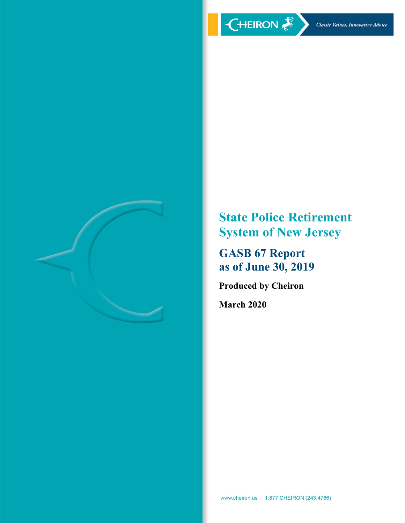

**State Police Retirement System of New Jersey**

**GASB 67 Report as of June 30, 2019**

**Produced by Cheiron**

**March 2020**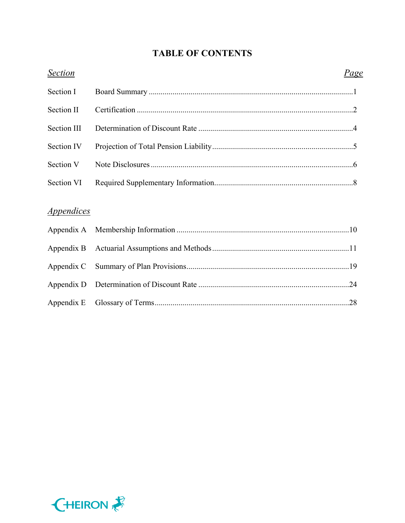# **TABLE OF CONTENTS**

| <b>Section</b>           | <u>Page</u> |  |
|--------------------------|-------------|--|
| Section I                |             |  |
| Section II               |             |  |
| Section III              |             |  |
| Section IV               |             |  |
| Section V                |             |  |
| Section VI               |             |  |
|                          |             |  |
| <i><u>Appendices</u></i> |             |  |
| Appendix A               |             |  |
| Appendix B               |             |  |
| Appendix C               |             |  |
| Appendix D               |             |  |
| Appendix E               |             |  |

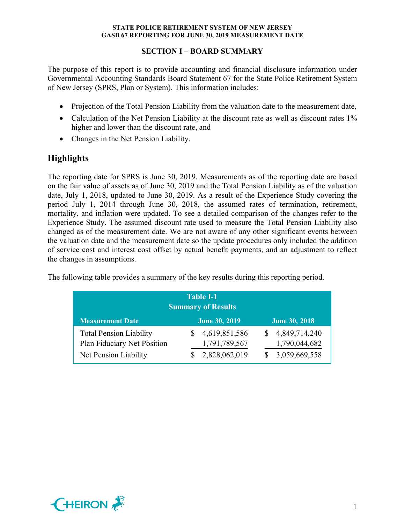## **SECTION I – BOARD SUMMARY**

The purpose of this report is to provide accounting and financial disclosure information under Governmental Accounting Standards Board Statement 67 for the State Police Retirement System of New Jersey (SPRS, Plan or System). This information includes:

- Projection of the Total Pension Liability from the valuation date to the measurement date,
- Calculation of the Net Pension Liability at the discount rate as well as discount rates 1% higher and lower than the discount rate, and
- Changes in the Net Pension Liability.

# **Highlights**

The reporting date for SPRS is June 30, 2019. Measurements as of the reporting date are based on the fair value of assets as of June 30, 2019 and the Total Pension Liability as of the valuation date, July 1, 2018, updated to June 30, 2019. As a result of the Experience Study covering the period July 1, 2014 through June 30, 2018, the assumed rates of termination, retirement, mortality, and inflation were updated. To see a detailed comparison of the changes refer to the Experience Study. The assumed discount rate used to measure the Total Pension Liability also changed as of the measurement date. We are not aware of any other significant events between the valuation date and the measurement date so the update procedures only included the addition of service cost and interest cost offset by actual benefit payments, and an adjustment to reflect the changes in assumptions.

The following table provides a summary of the key results during this reporting period.

| <b>Table I-1</b><br><b>Summary of Results</b>                 |                                     |                                |  |  |  |  |
|---------------------------------------------------------------|-------------------------------------|--------------------------------|--|--|--|--|
| <b>Measurement Date</b>                                       | <b>June 30, 2019</b>                | <b>June 30, 2018</b>           |  |  |  |  |
| <b>Total Pension Liability</b><br>Plan Fiduciary Net Position | 4,619,851,586<br>S<br>1,791,789,567 | 4,849,714,240<br>1,790,044,682 |  |  |  |  |
| Net Pension Liability                                         | 2,828,062,019                       | 3,059,669,558                  |  |  |  |  |

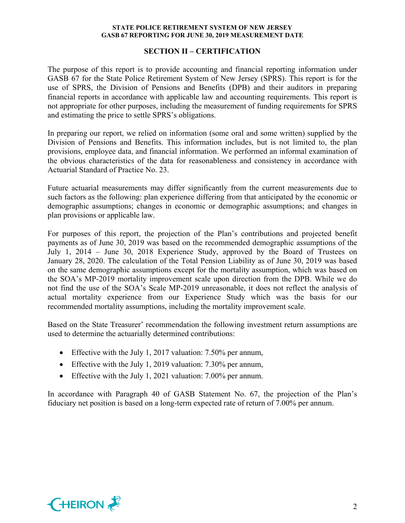#### **SECTION II – CERTIFICATION**

The purpose of this report is to provide accounting and financial reporting information under GASB 67 for the State Police Retirement System of New Jersey (SPRS). This report is for the use of SPRS, the Division of Pensions and Benefits (DPB) and their auditors in preparing financial reports in accordance with applicable law and accounting requirements. This report is not appropriate for other purposes, including the measurement of funding requirements for SPRS and estimating the price to settle SPRS's obligations.

In preparing our report, we relied on information (some oral and some written) supplied by the Division of Pensions and Benefits. This information includes, but is not limited to, the plan provisions, employee data, and financial information. We performed an informal examination of the obvious characteristics of the data for reasonableness and consistency in accordance with Actuarial Standard of Practice No. 23.

Future actuarial measurements may differ significantly from the current measurements due to such factors as the following: plan experience differing from that anticipated by the economic or demographic assumptions; changes in economic or demographic assumptions; and changes in plan provisions or applicable law.

For purposes of this report, the projection of the Plan's contributions and projected benefit payments as of June 30, 2019 was based on the recommended demographic assumptions of the July 1, 2014 – June 30, 2018 Experience Study, approved by the Board of Trustees on January 28, 2020. The calculation of the Total Pension Liability as of June 30, 2019 was based on the same demographic assumptions except for the mortality assumption, which was based on the SOA's MP-2019 mortality improvement scale upon direction from the DPB. While we do not find the use of the SOA's Scale MP-2019 unreasonable, it does not reflect the analysis of actual mortality experience from our Experience Study which was the basis for our recommended mortality assumptions, including the mortality improvement scale.

Based on the State Treasurer' recommendation the following investment return assumptions are used to determine the actuarially determined contributions:

- Effective with the July 1, 2017 valuation: 7.50% per annum,
- Effective with the July 1, 2019 valuation: 7.30% per annum,
- Effective with the July 1, 2021 valuation: 7.00% per annum.

In accordance with Paragraph 40 of GASB Statement No. 67, the projection of the Plan's fiduciary net position is based on a long-term expected rate of return of 7.00% per annum.

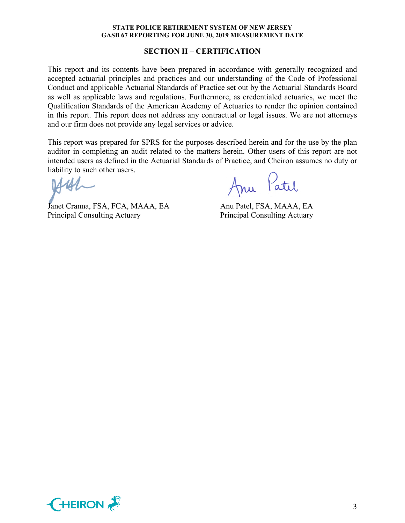#### **SECTION II – CERTIFICATION**

This report and its contents have been prepared in accordance with generally recognized and accepted actuarial principles and practices and our understanding of the Code of Professional Conduct and applicable Actuarial Standards of Practice set out by the Actuarial Standards Board as well as applicable laws and regulations. Furthermore, as credentialed actuaries, we meet the Qualification Standards of the American Academy of Actuaries to render the opinion contained in this report. This report does not address any contractual or legal issues. We are not attorneys and our firm does not provide any legal services or advice.

This report was prepared for SPRS for the purposes described herein and for the use by the plan auditor in completing an audit related to the matters herein. Other users of this report are not intended users as defined in the Actuarial Standards of Practice, and Cheiron assumes no duty or liability to such other users.

Janet Cranna, FSA, FCA, MAAA, EA Anu Patel, FSA, MAAA, EA Principal Consulting Actuary Principal Consulting Actuary

Anu Patil

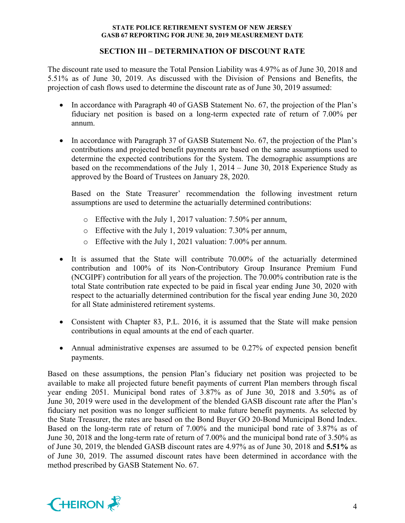# **SECTION III – DETERMINATION OF DISCOUNT RATE**

The discount rate used to measure the Total Pension Liability was 4.97% as of June 30, 2018 and 5.51% as of June 30, 2019. As discussed with the Division of Pensions and Benefits, the projection of cash flows used to determine the discount rate as of June 30, 2019 assumed:

- In accordance with Paragraph 40 of GASB Statement No. 67, the projection of the Plan's fiduciary net position is based on a long-term expected rate of return of 7.00% per annum.
- In accordance with Paragraph 37 of GASB Statement No. 67, the projection of the Plan's contributions and projected benefit payments are based on the same assumptions used to determine the expected contributions for the System. The demographic assumptions are based on the recommendations of the July 1, 2014 – June 30, 2018 Experience Study as approved by the Board of Trustees on January 28, 2020.

Based on the State Treasurer' recommendation the following investment return assumptions are used to determine the actuarially determined contributions:

- o Effective with the July 1, 2017 valuation: 7.50% per annum,
- o Effective with the July 1, 2019 valuation: 7.30% per annum,
- o Effective with the July 1, 2021 valuation: 7.00% per annum.
- It is assumed that the State will contribute 70.00% of the actuarially determined contribution and 100% of its Non-Contributory Group Insurance Premium Fund (NCGIPF) contribution for all years of the projection. The 70.00% contribution rate is the total State contribution rate expected to be paid in fiscal year ending June 30, 2020 with respect to the actuarially determined contribution for the fiscal year ending June 30, 2020 for all State administered retirement systems.
- Consistent with Chapter 83, P.L. 2016, it is assumed that the State will make pension contributions in equal amounts at the end of each quarter.
- Annual administrative expenses are assumed to be 0.27% of expected pension benefit payments.

Based on these assumptions, the pension Plan's fiduciary net position was projected to be available to make all projected future benefit payments of current Plan members through fiscal year ending 2051. Municipal bond rates of 3.87% as of June 30, 2018 and 3.50% as of June 30, 2019 were used in the development of the blended GASB discount rate after the Plan's fiduciary net position was no longer sufficient to make future benefit payments. As selected by the State Treasurer, the rates are based on the Bond Buyer GO 20-Bond Municipal Bond Index. Based on the long-term rate of return of 7.00% and the municipal bond rate of 3.87% as of June 30, 2018 and the long-term rate of return of 7.00% and the municipal bond rate of 3.50% as of June 30, 2019, the blended GASB discount rates are 4.97% as of June 30, 2018 and **5.51%** as of June 30, 2019. The assumed discount rates have been determined in accordance with the method prescribed by GASB Statement No. 67.

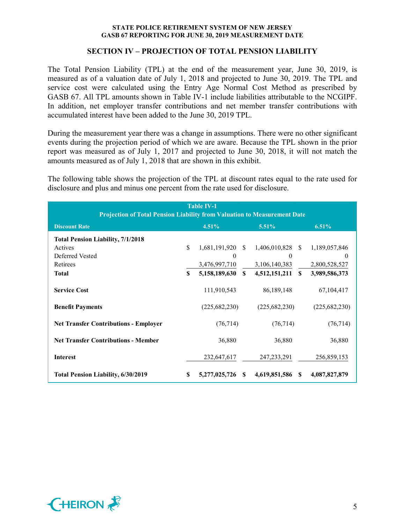# **SECTION IV – PROJECTION OF TOTAL PENSION LIABILITY**

The Total Pension Liability (TPL) at the end of the measurement year, June 30, 2019, is measured as of a valuation date of July 1, 2018 and projected to June 30, 2019. The TPL and service cost were calculated using the Entry Age Normal Cost Method as prescribed by GASB 67. All TPL amounts shown in Table IV-1 include liabilities attributable to the NCGIPF. In addition, net employer transfer contributions and net member transfer contributions with accumulated interest have been added to the June 30, 2019 TPL.

During the measurement year there was a change in assumptions. There were no other significant events during the projection period of which we are aware. Because the TPL shown in the prior report was measured as of July 1, 2017 and projected to June 30, 2018, it will not match the amounts measured as of July 1, 2018 that are shown in this exhibit.

The following table shows the projection of the TPL at discount rates equal to the rate used for disclosure and plus and minus one percent from the rate used for disclosure.

| <b>Table IV-1</b><br>Projection of Total Pension Liability from Valuation to Measurement Date |             |                 |               |                    |     |                 |
|-----------------------------------------------------------------------------------------------|-------------|-----------------|---------------|--------------------|-----|-----------------|
| <b>Discount Rate</b>                                                                          |             | 4.51%           |               | $5.51\%$           |     | 6.51%           |
| <b>Total Pension Liability, 7/1/2018</b>                                                      |             |                 |               |                    |     |                 |
| Actives                                                                                       | $\mathbf S$ | 1,681,191,920   | <sup>\$</sup> | $1,406,010,828$ \$ |     | 1,189,057,846   |
| Deferred Vested                                                                               |             | $\Omega$        |               | $\Omega$           |     |                 |
| Retirees                                                                                      |             | 3,476,997,710   |               | 3,106,140,383      |     | 2,800,528,527   |
| <b>Total</b>                                                                                  | \$.         | 5,158,189,630   | $\mathbf{s}$  | 4,512,151,211      | \$. | 3,989,586,373   |
| <b>Service Cost</b>                                                                           |             | 111,910,543     |               | 86,189,148         |     | 67, 104, 417    |
| <b>Benefit Payments</b>                                                                       |             | (225, 682, 230) |               | (225, 682, 230)    |     | (225, 682, 230) |
| <b>Net Transfer Contributions - Employer</b>                                                  |             | (76, 714)       |               | (76, 714)          |     | (76, 714)       |
| <b>Net Transfer Contributions - Member</b>                                                    |             | 36,880          |               | 36,880             |     | 36,880          |
| <b>Interest</b>                                                                               |             | 232,647,617     |               | 247, 233, 291      |     | 256,859,153     |
| <b>Total Pension Liability, 6/30/2019</b>                                                     | S           | 5,277,025,726   | -S            | 4,619,851,586      | -SS | 4,087,827,879   |

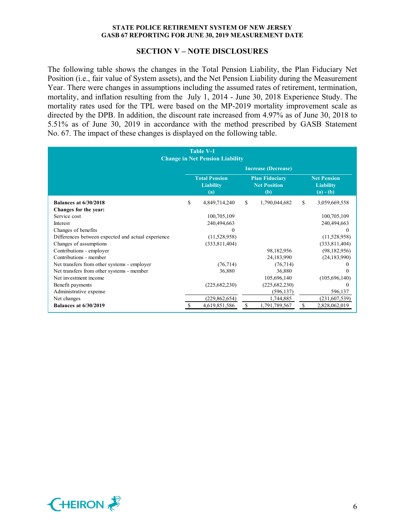#### **SECTION V – NOTE DISCLOSURES**

The following table shows the changes in the Total Pension Liability, the Plan Fiduciary Net Position (i.e., fair value of System assets), and the Net Pension Liability during the Measurement Year. There were changes in assumptions including the assumed rates of retirement, termination, mortality, and inflation resulting from the July 1, 2014 - June 30, 2018 Experience Study. The mortality rates used for the TPL were based on the MP-2019 mortality improvement scale as directed by the DPB. In addition, the discount rate increased from 4.97% as of June 30, 2018 to 5.51% as of June 30, 2019 in accordance with the method prescribed by GASB Statement No. 67. The impact of these changes is displayed on the following table.

| <b>Table V-1</b><br><b>Change in Net Pension Liability</b> |                                                                                                        |                 |    |                            |                                                       |                 |
|------------------------------------------------------------|--------------------------------------------------------------------------------------------------------|-----------------|----|----------------------------|-------------------------------------------------------|-----------------|
|                                                            |                                                                                                        |                 |    | <b>Increase (Decrease)</b> |                                                       |                 |
|                                                            | <b>Total Pension</b><br><b>Plan Fiduciary</b><br><b>Net Position</b><br><b>Liability</b><br>(b)<br>(a) |                 |    |                            | <b>Net Pension</b><br><b>Liability</b><br>$(a) - (b)$ |                 |
| <b>Balances at 6/30/2018</b>                               | \$                                                                                                     | 4,849,714,240   | S. | 1,790,044,682              | $\mathbb{S}$                                          | 3,059,669,558   |
| Changes for the year:                                      |                                                                                                        |                 |    |                            |                                                       |                 |
| Service cost                                               |                                                                                                        | 100,705,109     |    |                            |                                                       | 100,705,109     |
| <b>Interest</b>                                            |                                                                                                        | 240,494,663     |    |                            |                                                       | 240,494,663     |
| Changes of benefits                                        |                                                                                                        | $\Omega$        |    |                            |                                                       | 0               |
| Differences between expected and actual experience         |                                                                                                        | (11,528,958)    |    |                            |                                                       | (11,528,958)    |
| Changes of assumptions                                     |                                                                                                        | (333,811,404)   |    |                            |                                                       | (333,811,404)   |
| Contributions - employer                                   |                                                                                                        |                 |    | 98,182,956                 |                                                       | (98, 182, 956)  |
| Contributions - member                                     |                                                                                                        |                 |    | 24,183,990                 |                                                       | (24, 183, 990)  |
| Net transfers from other systems - employer                |                                                                                                        | (76, 714)       |    | (76, 714)                  |                                                       | 0               |
| Net transfers from other systems - member                  |                                                                                                        | 36,880          |    | 36,880                     |                                                       | 0               |
| Net investment income                                      |                                                                                                        |                 |    | 105,696,140                |                                                       | (105, 696, 140) |
| Benefit payments                                           |                                                                                                        | (225,682,230)   |    | (225, 682, 230)            |                                                       |                 |
| Administrative expense                                     |                                                                                                        |                 |    | (596, 137)                 |                                                       | 596,137         |
| Net changes                                                |                                                                                                        | (229, 862, 654) |    | 1,744,885                  |                                                       | (231,607,539)   |
| <b>Balances at 6/30/2019</b>                               | -S                                                                                                     | 4,619,851,586   | S  | 1,791,789,567              | <sup>\$</sup>                                         | 2,828,062,019   |

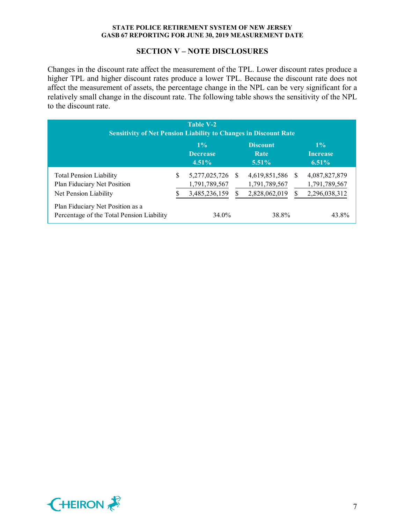# **SECTION V – NOTE DISCLOSURES**

Changes in the discount rate affect the measurement of the TPL. Lower discount rates produce a higher TPL and higher discount rates produce a lower TPL. Because the discount rate does not affect the measurement of assets, the percentage change in the NPL can be very significant for a relatively small change in the discount rate. The following table shows the sensitivity of the NPL to the discount rate.

| Table V-2<br><b>Sensitivity of Net Pension Liability to Changes in Discount Rate</b>                                |    |                                                    |    |                                                    |  |                                                 |  |
|---------------------------------------------------------------------------------------------------------------------|----|----------------------------------------------------|----|----------------------------------------------------|--|-------------------------------------------------|--|
| $1\%$<br>$1\%$<br><b>Discount</b><br><b>Decrease</b><br><b>Increase</b><br>Rate<br>$4.51\%$<br>$5.51\%$<br>$6.51\%$ |    |                                                    |    |                                                    |  |                                                 |  |
| <b>Total Pension Liability</b><br>Plan Fiduciary Net Position<br>Net Pension Liability                              | \$ | 5, 277, 025, 726<br>1,791,789,567<br>3,485,236,159 | -S | 4,619,851,586 \$<br>1,791,789,567<br>2,828,062,019 |  | 4,087,827,879<br>1,791,789,567<br>2,296,038,312 |  |
| Plan Fiduciary Net Position as a<br>Percentage of the Total Pension Liability                                       |    | 34.0%                                              |    | 38.8%                                              |  | 43.8%                                           |  |

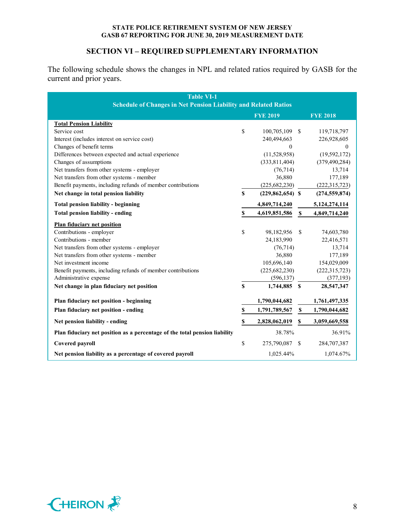# **SECTION VI – REQUIRED SUPPLEMENTARY INFORMATION**

The following schedule shows the changes in NPL and related ratios required by GASB for the current and prior years.

| <b>Table VI-1</b><br><b>Schedule of Changes in Net Pension Liability and Related Ratios</b> |             |                      |               |                  |  |
|---------------------------------------------------------------------------------------------|-------------|----------------------|---------------|------------------|--|
|                                                                                             |             | <b>FYE 2019</b>      |               | <b>FYE 2018</b>  |  |
| <b>Total Pension Liability</b>                                                              |             |                      |               |                  |  |
| Service cost                                                                                | \$          | 100,705,109          | <sup>\$</sup> | 119,718,797      |  |
| Interest (includes interest on service cost)                                                |             | 240,494,663          |               | 226,928,605      |  |
| Changes of benefit terms                                                                    |             | $\mathbf{0}$         |               | $\mathbf{0}$     |  |
| Differences between expected and actual experience                                          |             | (11,528,958)         |               | (19, 592, 172)   |  |
| Changes of assumptions                                                                      |             | (333, 811, 404)      |               | (379, 490, 284)  |  |
| Net transfers from other systems - employer                                                 |             | (76, 714)            |               | 13,714           |  |
| Net transfers from other systems - member                                                   |             | 36,880               |               | 177,189          |  |
| Benefit payments, including refunds of member contributions                                 |             | (225, 682, 230)      |               | (222,315,723)    |  |
| Net change in total pension liability                                                       | $\mathbf S$ | $(229, 862, 654)$ \$ |               | (274, 559, 874)  |  |
| <b>Total pension liability - beginning</b>                                                  |             | 4,849,714,240        |               | 5, 124, 274, 114 |  |
| <b>Total pension liability - ending</b>                                                     | \$          | 4,619,851,586        | \$            | 4,849,714,240    |  |
| <b>Plan fiduciary net position</b>                                                          |             |                      |               |                  |  |
| Contributions - employer                                                                    | \$          | 98,182,956           | \$            | 74,603,780       |  |
| Contributions - member                                                                      |             | 24,183,990           |               | 22,416,571       |  |
| Net transfers from other systems - employer                                                 |             | (76, 714)            |               | 13,714           |  |
| Net transfers from other systems - member                                                   |             | 36,880               |               | 177,189          |  |
| Net investment income                                                                       |             | 105,696,140          |               | 154,029,009      |  |
| Benefit payments, including refunds of member contributions                                 |             | (225, 682, 230)      |               | (222, 315, 723)  |  |
| Administrative expense                                                                      |             | (596, 137)           |               | (377, 193)       |  |
| Net change in plan fiduciary net position                                                   | S           | 1,744,885            | S             | 28,547,347       |  |
| Plan fiduciary net position - beginning                                                     |             | 1,790,044,682        |               | 1,761,497,335    |  |
| Plan fiduciary net position - ending                                                        | \$          | 1,791,789,567        | \$            | 1,790,044,682    |  |
| Net pension liability - ending                                                              |             | 2,828,062,019        | $\mathbf S$   | 3,059,669,558    |  |
| Plan fiduciary net position as a percentage of the total pension liability                  |             | 38.78%               |               | 36.91%           |  |
| <b>Covered payroll</b>                                                                      | \$          | 275,790,087          | <sup>\$</sup> | 284,707,387      |  |
| Net pension liability as a percentage of covered payroll                                    |             | 1,025.44%            |               | 1,074.67%        |  |
|                                                                                             |             |                      |               |                  |  |

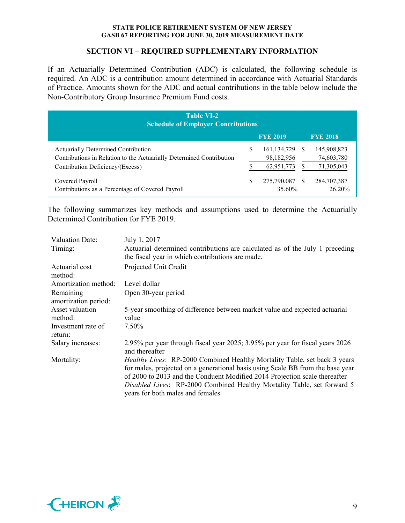# **SECTION VI – REQUIRED SUPPLEMENTARY INFORMATION**

If an Actuarially Determined Contribution (ADC) is calculated, the following schedule is required. An ADC is a contribution amount determined in accordance with Actuarial Standards of Practice. Amounts shown for the ADC and actual contributions in the table below include the Non-Contributory Group Insurance Premium Fund costs.

| Table VI-2<br><b>Schedule of Employer Contributions</b>                                                                                                |   |                                           |      |                                         |  |  |
|--------------------------------------------------------------------------------------------------------------------------------------------------------|---|-------------------------------------------|------|-----------------------------------------|--|--|
| <b>FYE 2018</b><br><b>FYE 2019</b>                                                                                                                     |   |                                           |      |                                         |  |  |
| <b>Actuarially Determined Contribution</b><br>Contributions in Relation to the Actuarially Determined Contribution<br>Contribution Deficiency/(Excess) | S | 161, 134, 729<br>98,182,956<br>62,951,773 | - \$ | 145,908,823<br>74,603,780<br>71,305,043 |  |  |
| Covered Payroll<br>Contributions as a Percentage of Covered Payroll                                                                                    | S | 275,790,087<br>35.60%                     | - \$ | 284, 707, 387<br>26.20%                 |  |  |

The following summarizes key methods and assumptions used to determine the Actuarially Determined Contribution for FYE 2019.

| Valuation Date:                   | July 1, 2017                                                                                                                                                                                                                                                                                                                                                    |
|-----------------------------------|-----------------------------------------------------------------------------------------------------------------------------------------------------------------------------------------------------------------------------------------------------------------------------------------------------------------------------------------------------------------|
| Timing:                           | Actuarial determined contributions are calculated as of the July 1 preceding<br>the fiscal year in which contributions are made.                                                                                                                                                                                                                                |
| Actuarial cost<br>method:         | Projected Unit Credit                                                                                                                                                                                                                                                                                                                                           |
| Amortization method:              | Level dollar                                                                                                                                                                                                                                                                                                                                                    |
| Remaining<br>amortization period: | Open 30-year period                                                                                                                                                                                                                                                                                                                                             |
| Asset valuation<br>method:        | 5-year smoothing of difference between market value and expected actuarial<br>value                                                                                                                                                                                                                                                                             |
| Investment rate of<br>return:     | 7.50%                                                                                                                                                                                                                                                                                                                                                           |
| Salary increases:                 | 2.95% per year through fiscal year 2025; 3.95% per year for fiscal years 2026<br>and thereafter                                                                                                                                                                                                                                                                 |
| Mortality:                        | <i>Healthy Lives:</i> RP-2000 Combined Healthy Mortality Table, set back 3 years<br>for males, projected on a generational basis using Scale BB from the base year<br>of 2000 to 2013 and the Conduent Modified 2014 Projection scale thereafter<br>Disabled Lives: RP-2000 Combined Healthy Mortality Table, set forward 5<br>years for both males and females |

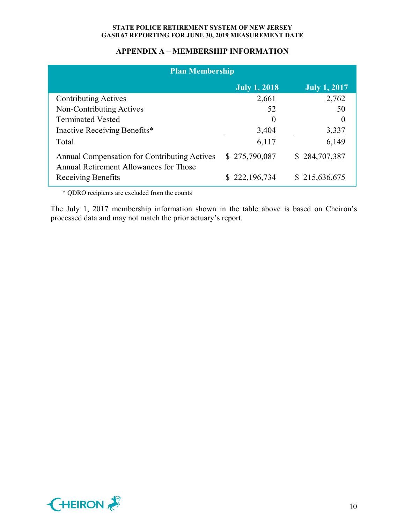# **APPENDIX A – MEMBERSHIP INFORMATION**

| <b>Plan Membership</b>                                                                 |                     |                     |  |  |  |  |
|----------------------------------------------------------------------------------------|---------------------|---------------------|--|--|--|--|
|                                                                                        | <b>July 1, 2018</b> | <b>July 1, 2017</b> |  |  |  |  |
| <b>Contributing Actives</b>                                                            | 2,661               | 2,762               |  |  |  |  |
| Non-Contributing Actives                                                               | 52                  | 50                  |  |  |  |  |
| <b>Terminated Vested</b>                                                               | $\theta$            |                     |  |  |  |  |
| Inactive Receiving Benefits*                                                           | 3,404               | 3,337               |  |  |  |  |
| Total                                                                                  | 6,117               | 6,149               |  |  |  |  |
| Annual Compensation for Contributing Actives<br>Annual Retirement Allowances for Those | \$275,790,087       | \$284,707,387       |  |  |  |  |
| Receiving Benefits                                                                     | \$222,196,734       | \$215,636,675       |  |  |  |  |

\* QDRO recipients are excluded from the counts

The July 1, 2017 membership information shown in the table above is based on Cheiron's processed data and may not match the prior actuary's report.

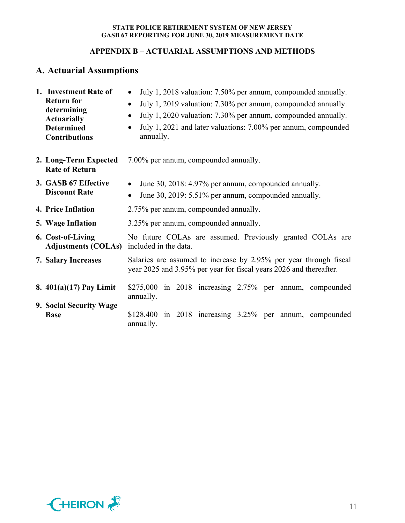# **APPENDIX B – ACTUARIAL ASSUMPTIONS AND METHODS**

# **A. Actuarial Assumptions**

| 1. Investment Rate of<br><b>Return for</b><br>determining<br><b>Actuarially</b><br><b>Determined</b><br><b>Contributions</b> | July 1, 2018 valuation: 7.50% per annum, compounded annually.<br>$\bullet$<br>July 1, 2019 valuation: 7.30% per annum, compounded annually.<br>$\bullet$<br>July 1, 2020 valuation: 7.30% per annum, compounded annually.<br>$\bullet$<br>July 1, 2021 and later valuations: 7.00% per annum, compounded<br>$\bullet$<br>annually. |  |  |  |  |  |  |
|------------------------------------------------------------------------------------------------------------------------------|------------------------------------------------------------------------------------------------------------------------------------------------------------------------------------------------------------------------------------------------------------------------------------------------------------------------------------|--|--|--|--|--|--|
| 2. Long-Term Expected<br><b>Rate of Return</b>                                                                               | 7.00% per annum, compounded annually.                                                                                                                                                                                                                                                                                              |  |  |  |  |  |  |
| 3. GASB 67 Effective<br><b>Discount Rate</b>                                                                                 | June 30, 2018: 4.97% per annum, compounded annually.<br>$\bullet$<br>June 30, 2019: 5.51% per annum, compounded annually.<br>$\bullet$                                                                                                                                                                                             |  |  |  |  |  |  |
| 4. Price Inflation                                                                                                           | 2.75% per annum, compounded annually.                                                                                                                                                                                                                                                                                              |  |  |  |  |  |  |
| 5. Wage Inflation                                                                                                            | 3.25% per annum, compounded annually.                                                                                                                                                                                                                                                                                              |  |  |  |  |  |  |
| 6. Cost-of-Living<br><b>Adjustments (COLAs)</b>                                                                              | No future COLAs are assumed. Previously granted COLAs are<br>included in the data.                                                                                                                                                                                                                                                 |  |  |  |  |  |  |
| 7. Salary Increases                                                                                                          | Salaries are assumed to increase by 2.95% per year through fiscal<br>year 2025 and 3.95% per year for fiscal years 2026 and thereafter.                                                                                                                                                                                            |  |  |  |  |  |  |
| 8. $401(a)(17)$ Pay Limit                                                                                                    | \$275,000 in 2018 increasing 2.75% per annum, compounded<br>annually.                                                                                                                                                                                                                                                              |  |  |  |  |  |  |
| 9. Social Security Wage<br><b>Base</b>                                                                                       | $$128,400$ in $2018$ increasing $3.25\%$ per annum, compounded<br>annually.                                                                                                                                                                                                                                                        |  |  |  |  |  |  |

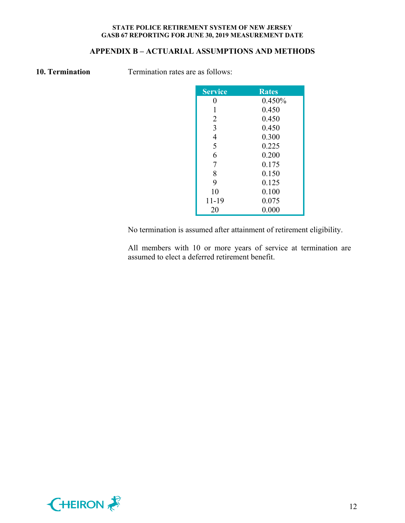# **APPENDIX B – ACTUARIAL ASSUMPTIONS AND METHODS**

**10. Termination** Termination rates are as follows:

| <b>Service</b> | <b>Rates</b> |
|----------------|--------------|
| 0              | 0.450%       |
| 1              | 0.450        |
| $\overline{2}$ | 0.450        |
| 3              | 0.450        |
| $\overline{4}$ | 0.300        |
| 5              | 0.225        |
| 6              | 0.200        |
| $\overline{7}$ | 0.175        |
| 8              | 0.150        |
| 9              | 0.125        |
| 10             | 0.100        |
| 11-19          | 0.075        |
| 20             | 0.000        |

No termination is assumed after attainment of retirement eligibility.

All members with 10 or more years of service at termination are assumed to elect a deferred retirement benefit.

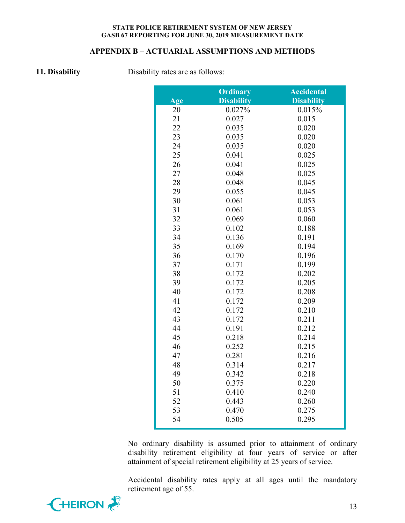#### **APPENDIX B – ACTUARIAL ASSUMPTIONS AND METHODS**

**11. Disability** Disability rates are as follows:

|     | <b>Ordinary</b>   | <b>Accidental</b> |
|-----|-------------------|-------------------|
| Age | <b>Disability</b> | <b>Disability</b> |
| 20  | 0.027%            | 0.015%            |
| 21  | 0.027             | 0.015             |
| 22  | 0.035             | 0.020             |
| 23  | 0.035             | 0.020             |
| 24  | 0.035             | 0.020             |
| 25  | 0.041             | 0.025             |
| 26  | 0.041             | 0.025             |
| 27  | 0.048             | 0.025             |
| 28  | 0.048             | 0.045             |
| 29  | 0.055             | 0.045             |
| 30  | 0.061             | 0.053             |
| 31  | 0.061             | 0.053             |
| 32  | 0.069             | 0.060             |
| 33  | 0.102             | 0.188             |
| 34  | 0.136             | 0.191             |
| 35  | 0.169             | 0.194             |
| 36  | 0.170             | 0.196             |
| 37  | 0.171             | 0.199             |
| 38  | 0.172             | 0.202             |
| 39  | 0.172             | 0.205             |
| 40  | 0.172             | 0.208             |
| 41  | 0.172             | 0.209             |
| 42  | 0.172             | 0.210             |
| 43  | 0.172             | 0.211             |
| 44  | 0.191             | 0.212             |
| 45  | 0.218             | 0.214             |
| 46  | 0.252             | 0.215             |
| 47  | 0.281             | 0.216             |
| 48  | 0.314             | 0.217             |
| 49  | 0.342             | 0.218             |
| 50  | 0.375             | 0.220             |
| 51  | 0.410             | 0.240             |
| 52  | 0.443             | 0.260             |
| 53  | 0.470             | 0.275             |
| 54  | 0.505             | 0.295             |
|     |                   |                   |

No ordinary disability is assumed prior to attainment of ordinary disability retirement eligibility at four years of service or after attainment of special retirement eligibility at 25 years of service.

Accidental disability rates apply at all ages until the mandatory retirement age of 55.

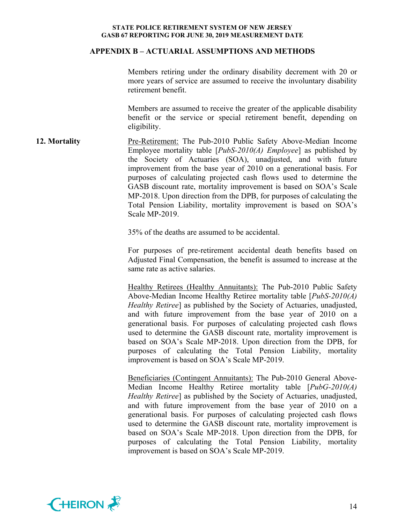#### **APPENDIX B – ACTUARIAL ASSUMPTIONS AND METHODS**

Members retiring under the ordinary disability decrement with 20 or more years of service are assumed to receive the involuntary disability retirement benefit.

Members are assumed to receive the greater of the applicable disability benefit or the service or special retirement benefit, depending on eligibility.

**12. Mortality** Pre-Retirement: The Pub-2010 Public Safety Above-Median Income Employee mortality table [*PubS-2010(A) Employee*] as published by the Society of Actuaries (SOA), unadjusted, and with future improvement from the base year of 2010 on a generational basis. For purposes of calculating projected cash flows used to determine the GASB discount rate, mortality improvement is based on SOA's Scale MP-2018. Upon direction from the DPB, for purposes of calculating the Total Pension Liability, mortality improvement is based on SOA's Scale MP-2019.

35% of the deaths are assumed to be accidental.

For purposes of pre-retirement accidental death benefits based on Adjusted Final Compensation, the benefit is assumed to increase at the same rate as active salaries.

Healthy Retirees (Healthy Annuitants): The Pub-2010 Public Safety Above-Median Income Healthy Retiree mortality table [*PubS-2010(A) Healthy Retiree*] as published by the Society of Actuaries, unadjusted, and with future improvement from the base year of 2010 on a generational basis. For purposes of calculating projected cash flows used to determine the GASB discount rate, mortality improvement is based on SOA's Scale MP-2018. Upon direction from the DPB, for purposes of calculating the Total Pension Liability, mortality improvement is based on SOA's Scale MP-2019.

Beneficiaries (Contingent Annuitants): The Pub-2010 General Above-Median Income Healthy Retiree mortality table [*PubG-2010(A) Healthy Retiree*] as published by the Society of Actuaries, unadjusted, and with future improvement from the base year of 2010 on a generational basis. For purposes of calculating projected cash flows used to determine the GASB discount rate, mortality improvement is based on SOA's Scale MP-2018. Upon direction from the DPB, for purposes of calculating the Total Pension Liability, mortality improvement is based on SOA's Scale MP-2019.

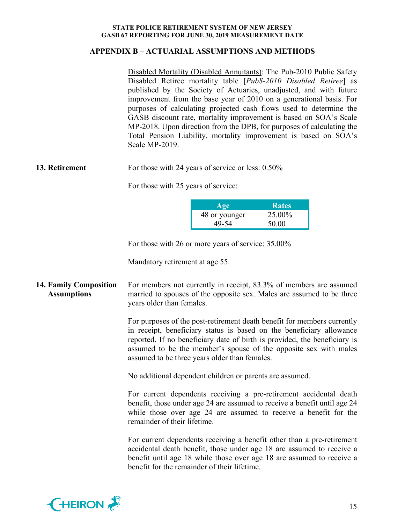## **APPENDIX B – ACTUARIAL ASSUMPTIONS AND METHODS**

Disabled Mortality (Disabled Annuitants): The Pub-2010 Public Safety Disabled Retiree mortality table [*PubS-2010 Disabled Retiree*] as published by the Society of Actuaries, unadjusted, and with future improvement from the base year of 2010 on a generational basis. For purposes of calculating projected cash flows used to determine the GASB discount rate, mortality improvement is based on SOA's Scale MP-2018. Upon direction from the DPB, for purposes of calculating the Total Pension Liability, mortality improvement is based on SOA's Scale MP-2019.

**13. Retirement** For those with 24 years of service or less:  $0.50\%$ 

For those with 25 years of service:

| Age           | <b>Rates</b> |
|---------------|--------------|
| 48 or younger | 25.00%       |
| 49-54         | 50.00        |

For those with 26 or more years of service: 35.00%

Mandatory retirement at age 55.

# **14. Family Composition Assumptions**

For members not currently in receipt, 83.3% of members are assumed married to spouses of the opposite sex. Males are assumed to be three years older than females.

For purposes of the post-retirement death benefit for members currently in receipt, beneficiary status is based on the beneficiary allowance reported. If no beneficiary date of birth is provided, the beneficiary is assumed to be the member's spouse of the opposite sex with males assumed to be three years older than females.

No additional dependent children or parents are assumed.

For current dependents receiving a pre-retirement accidental death benefit, those under age 24 are assumed to receive a benefit until age 24 while those over age 24 are assumed to receive a benefit for the remainder of their lifetime.

For current dependents receiving a benefit other than a pre-retirement accidental death benefit, those under age 18 are assumed to receive a benefit until age 18 while those over age 18 are assumed to receive a benefit for the remainder of their lifetime.

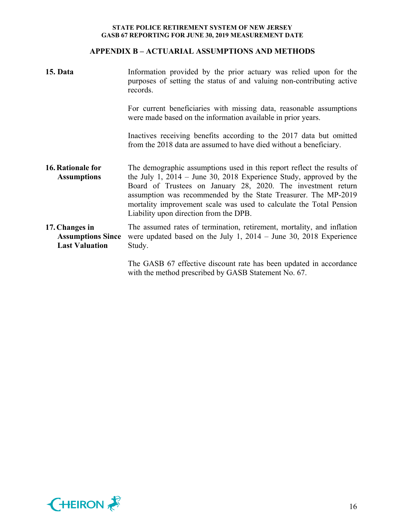#### **APPENDIX B – ACTUARIAL ASSUMPTIONS AND METHODS**

**15. Data** Information provided by the prior actuary was relied upon for the purposes of setting the status of and valuing non-contributing active records. For current beneficiaries with missing data, reasonable assumptions were made based on the information available in prior years. Inactives receiving benefits according to the 2017 data but omitted from the 2018 data are assumed to have died without a beneficiary. **16. Rationale for Assumptions** The demographic assumptions used in this report reflect the results of the July 1, 2014 – June 30, 2018 Experience Study, approved by the Board of Trustees on January 28, 2020. The investment return assumption was recommended by the State Treasurer. The MP-2019 mortality improvement scale was used to calculate the Total Pension

**17. Changes in Assumptions Since Last Valuation** The assumed rates of termination, retirement, mortality, and inflation were updated based on the July 1, 2014 – June 30, 2018 Experience Study.

Liability upon direction from the DPB.

The GASB 67 effective discount rate has been updated in accordance with the method prescribed by GASB Statement No. 67.

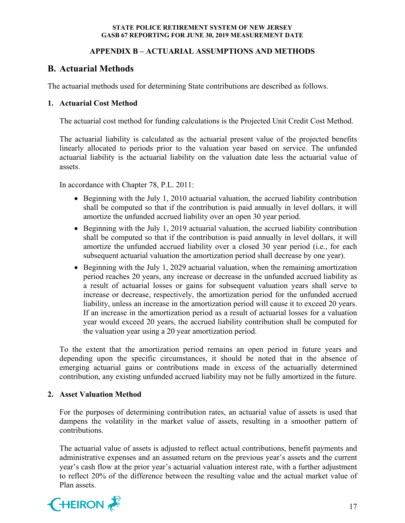# **APPENDIX B – ACTUARIAL ASSUMPTIONS AND METHODS**

# **B. Actuarial Methods**

The actuarial methods used for determining State contributions are described as follows.

# **1. Actuarial Cost Method**

The actuarial cost method for funding calculations is the Projected Unit Credit Cost Method.

The actuarial liability is calculated as the actuarial present value of the projected benefits linearly allocated to periods prior to the valuation year based on service. The unfunded actuarial liability is the actuarial liability on the valuation date less the actuarial value of assets.

In accordance with Chapter 78, P.L. 2011:

- Beginning with the July 1, 2010 actuarial valuation, the accrued liability contribution shall be computed so that if the contribution is paid annually in level dollars, it will amortize the unfunded accrued liability over an open 30 year period.
- Beginning with the July 1, 2019 actuarial valuation, the accrued liability contribution shall be computed so that if the contribution is paid annually in level dollars, it will amortize the unfunded accrued liability over a closed 30 year period (i.e., for each subsequent actuarial valuation the amortization period shall decrease by one year).
- Beginning with the July 1, 2029 actuarial valuation, when the remaining amortization period reaches 20 years, any increase or decrease in the unfunded accrued liability as a result of actuarial losses or gains for subsequent valuation years shall serve to increase or decrease, respectively, the amortization period for the unfunded accrued liability, unless an increase in the amortization period will cause it to exceed 20 years. If an increase in the amortization period as a result of actuarial losses for a valuation year would exceed 20 years, the accrued liability contribution shall be computed for the valuation year using a 20 year amortization period.

To the extent that the amortization period remains an open period in future years and depending upon the specific circumstances, it should be noted that in the absence of emerging actuarial gains or contributions made in excess of the actuarially determined contribution, any existing unfunded accrued liability may not be fully amortized in the future.

# **2. Asset Valuation Method**

For the purposes of determining contribution rates, an actuarial value of assets is used that dampens the volatility in the market value of assets, resulting in a smoother pattern of contributions.

The actuarial value of assets is adjusted to reflect actual contributions, benefit payments and administrative expenses and an assumed return on the previous year's assets and the current year's cash flow at the prior year's actuarial valuation interest rate, with a further adjustment to reflect 20% of the difference between the resulting value and the actual market value of Plan assets.

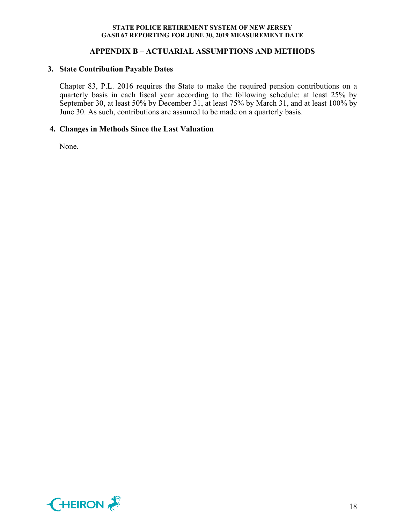# **APPENDIX B – ACTUARIAL ASSUMPTIONS AND METHODS**

#### **3. State Contribution Payable Dates**

Chapter 83, P.L. 2016 requires the State to make the required pension contributions on a quarterly basis in each fiscal year according to the following schedule: at least 25% by September 30, at least 50% by December 31, at least 75% by March 31, and at least 100% by June 30. As such, contributions are assumed to be made on a quarterly basis.

#### **4. Changes in Methods Since the Last Valuation**

None.

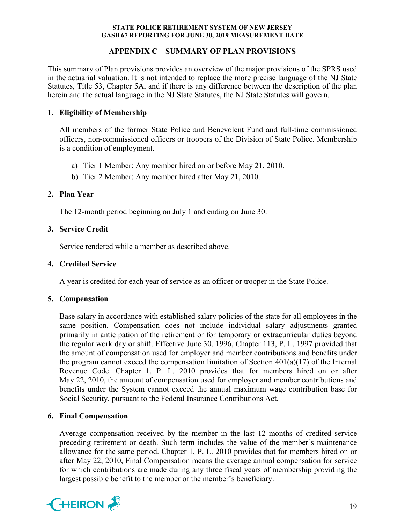# **APPENDIX C – SUMMARY OF PLAN PROVISIONS**

This summary of Plan provisions provides an overview of the major provisions of the SPRS used in the actuarial valuation. It is not intended to replace the more precise language of the NJ State Statutes, Title 53, Chapter 5A, and if there is any difference between the description of the plan herein and the actual language in the NJ State Statutes, the NJ State Statutes will govern.

# **1. Eligibility of Membership**

All members of the former State Police and Benevolent Fund and full-time commissioned officers, non-commissioned officers or troopers of the Division of State Police. Membership is a condition of employment.

- a) Tier 1 Member: Any member hired on or before May 21, 2010.
- b) Tier 2 Member: Any member hired after May 21, 2010.

# **2. Plan Year**

The 12-month period beginning on July 1 and ending on June 30.

# **3. Service Credit**

Service rendered while a member as described above.

#### **4. Credited Service**

A year is credited for each year of service as an officer or trooper in the State Police.

#### **5. Compensation**

Base salary in accordance with established salary policies of the state for all employees in the same position. Compensation does not include individual salary adjustments granted primarily in anticipation of the retirement or for temporary or extracurricular duties beyond the regular work day or shift. Effective June 30, 1996, Chapter 113, P. L. 1997 provided that the amount of compensation used for employer and member contributions and benefits under the program cannot exceed the compensation limitation of Section  $401(a)(17)$  of the Internal Revenue Code. Chapter 1, P. L. 2010 provides that for members hired on or after May 22, 2010, the amount of compensation used for employer and member contributions and benefits under the System cannot exceed the annual maximum wage contribution base for Social Security, pursuant to the Federal Insurance Contributions Act.

# **6. Final Compensation**

Average compensation received by the member in the last 12 months of credited service preceding retirement or death. Such term includes the value of the member's maintenance allowance for the same period. Chapter 1, P. L. 2010 provides that for members hired on or after May 22, 2010, Final Compensation means the average annual compensation for service for which contributions are made during any three fiscal years of membership providing the largest possible benefit to the member or the member's beneficiary.

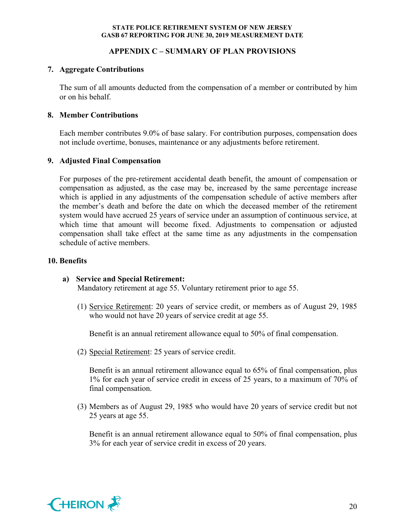# **APPENDIX C – SUMMARY OF PLAN PROVISIONS**

## **7. Aggregate Contributions**

The sum of all amounts deducted from the compensation of a member or contributed by him or on his behalf.

# **8. Member Contributions**

Each member contributes 9.0% of base salary. For contribution purposes, compensation does not include overtime, bonuses, maintenance or any adjustments before retirement.

# **9. Adjusted Final Compensation**

For purposes of the pre-retirement accidental death benefit, the amount of compensation or compensation as adjusted, as the case may be, increased by the same percentage increase which is applied in any adjustments of the compensation schedule of active members after the member's death and before the date on which the deceased member of the retirement system would have accrued 25 years of service under an assumption of continuous service, at which time that amount will become fixed. Adjustments to compensation or adjusted compensation shall take effect at the same time as any adjustments in the compensation schedule of active members.

## **10. Benefits**

# **a) Service and Special Retirement:**

Mandatory retirement at age 55. Voluntary retirement prior to age 55.

(1) Service Retirement: 20 years of service credit, or members as of August 29, 1985 who would not have 20 years of service credit at age 55.

Benefit is an annual retirement allowance equal to 50% of final compensation.

(2) Special Retirement: 25 years of service credit.

Benefit is an annual retirement allowance equal to 65% of final compensation, plus 1% for each year of service credit in excess of 25 years, to a maximum of 70% of final compensation.

(3) Members as of August 29, 1985 who would have 20 years of service credit but not 25 years at age 55.

Benefit is an annual retirement allowance equal to 50% of final compensation, plus 3% for each year of service credit in excess of 20 years.

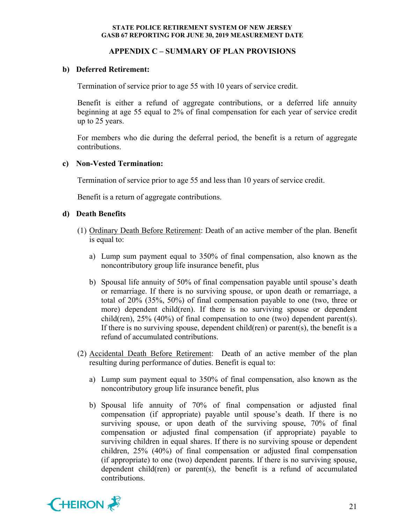## **APPENDIX C – SUMMARY OF PLAN PROVISIONS**

#### **b) Deferred Retirement:**

Termination of service prior to age 55 with 10 years of service credit.

Benefit is either a refund of aggregate contributions, or a deferred life annuity beginning at age 55 equal to 2% of final compensation for each year of service credit up to 25 years.

For members who die during the deferral period, the benefit is a return of aggregate contributions.

#### **c) Non-Vested Termination:**

Termination of service prior to age 55 and less than 10 years of service credit.

Benefit is a return of aggregate contributions.

# **d) Death Benefits**

- (1) Ordinary Death Before Retirement: Death of an active member of the plan. Benefit is equal to:
	- a) Lump sum payment equal to 350% of final compensation, also known as the noncontributory group life insurance benefit, plus
	- b) Spousal life annuity of 50% of final compensation payable until spouse's death or remarriage. If there is no surviving spouse, or upon death or remarriage, a total of 20% (35%, 50%) of final compensation payable to one (two, three or more) dependent child(ren). If there is no surviving spouse or dependent child(ren),  $25\%$  (40%) of final compensation to one (two) dependent parent(s). If there is no surviving spouse, dependent child(ren) or parent(s), the benefit is a refund of accumulated contributions.
- (2) Accidental Death Before Retirement: Death of an active member of the plan resulting during performance of duties. Benefit is equal to:
	- a) Lump sum payment equal to 350% of final compensation, also known as the noncontributory group life insurance benefit, plus
	- b) Spousal life annuity of 70% of final compensation or adjusted final compensation (if appropriate) payable until spouse's death. If there is no surviving spouse, or upon death of the surviving spouse, 70% of final compensation or adjusted final compensation (if appropriate) payable to surviving children in equal shares. If there is no surviving spouse or dependent children, 25% (40%) of final compensation or adjusted final compensation (if appropriate) to one (two) dependent parents. If there is no surviving spouse, dependent child(ren) or parent(s), the benefit is a refund of accumulated contributions.

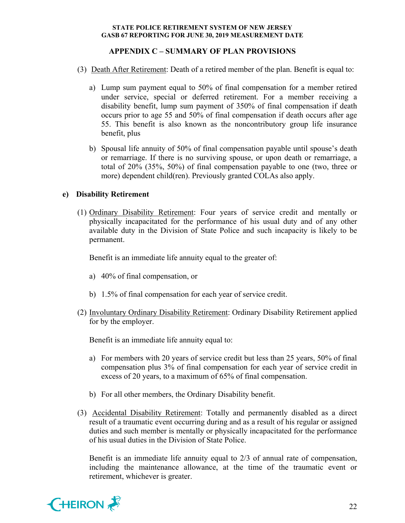# **APPENDIX C – SUMMARY OF PLAN PROVISIONS**

- (3) Death After Retirement: Death of a retired member of the plan. Benefit is equal to:
	- a) Lump sum payment equal to 50% of final compensation for a member retired under service, special or deferred retirement. For a member receiving a disability benefit, lump sum payment of 350% of final compensation if death occurs prior to age 55 and 50% of final compensation if death occurs after age 55. This benefit is also known as the noncontributory group life insurance benefit, plus
	- b) Spousal life annuity of 50% of final compensation payable until spouse's death or remarriage. If there is no surviving spouse, or upon death or remarriage, a total of 20% (35%, 50%) of final compensation payable to one (two, three or more) dependent child(ren). Previously granted COLAs also apply.

# **e) Disability Retirement**

(1) Ordinary Disability Retirement: Four years of service credit and mentally or physically incapacitated for the performance of his usual duty and of any other available duty in the Division of State Police and such incapacity is likely to be permanent.

Benefit is an immediate life annuity equal to the greater of:

- a) 40% of final compensation, or
- b) 1.5% of final compensation for each year of service credit.
- (2) Involuntary Ordinary Disability Retirement: Ordinary Disability Retirement applied for by the employer.

Benefit is an immediate life annuity equal to:

- a) For members with 20 years of service credit but less than 25 years, 50% of final compensation plus 3% of final compensation for each year of service credit in excess of 20 years, to a maximum of 65% of final compensation.
- b) For all other members, the Ordinary Disability benefit.
- (3) Accidental Disability Retirement: Totally and permanently disabled as a direct result of a traumatic event occurring during and as a result of his regular or assigned duties and such member is mentally or physically incapacitated for the performance of his usual duties in the Division of State Police.

Benefit is an immediate life annuity equal to 2/3 of annual rate of compensation, including the maintenance allowance, at the time of the traumatic event or retirement, whichever is greater.

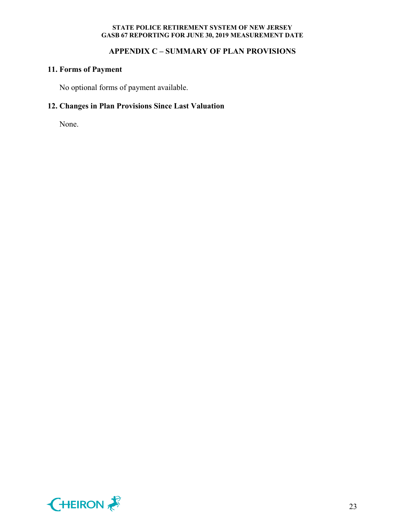# **APPENDIX C – SUMMARY OF PLAN PROVISIONS**

# **11. Forms of Payment**

No optional forms of payment available.

# **12. Changes in Plan Provisions Since Last Valuation**

None.

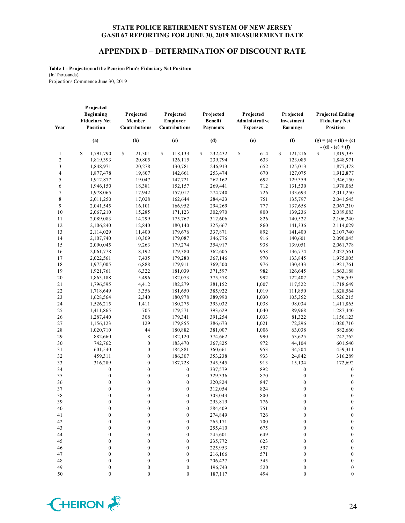#### **APPENDIX D – DETERMINATION OF DISCOUNT RATE**

**Table 1 - Projection of the Pension Plan's Fiduciary Net Position** (In Thousands) Projections Commence June 30, 2019

| Year           | Projected<br>Beginning<br><b>Fiduciary Net</b><br><b>Position</b> | Projected<br>Member<br>Contributions | Projected<br>Employer<br>Contributions | Projected<br><b>Benefit</b><br><b>Payments</b> | Projected<br>Administrative<br><b>Expenses</b> | Projected<br>Investment<br>Earnings | <b>Projected Ending</b><br><b>Fiduciary Net</b><br>Position |
|----------------|-------------------------------------------------------------------|--------------------------------------|----------------------------------------|------------------------------------------------|------------------------------------------------|-------------------------------------|-------------------------------------------------------------|
|                | (a)                                                               | (b)                                  | (c)                                    | (d)                                            | (e)                                            | (f)                                 | $(g) = (a) + (b) + (c)$<br>$- (d) - (e) + (f)$              |
| 1              | \$<br>1,791,790                                                   | \$<br>21,301                         | S<br>118,133                           | \$<br>232,432                                  | \$<br>614                                      | \$<br>121,216                       | S<br>1,819,393                                              |
| $\overline{c}$ | 1,819,393                                                         | 20,805                               | 126,115                                | 239,794                                        | 633                                            | 123,085                             | 1,848,971                                                   |
| $\mathfrak{Z}$ | 1,848,971                                                         | 20,278                               | 130,781                                | 246,913                                        | 652                                            | 125,013                             | 1,877,478                                                   |
| 4              | 1,877,478                                                         | 19,807                               | 142,661                                | 253,474                                        | 670                                            | 127,075                             | 1,912,877                                                   |
| 5              | 1,912,877                                                         | 19,047                               | 147,721                                | 262,162                                        | 692                                            | 129,359                             | 1,946,150                                                   |
| 6              | 1,946,150                                                         | 18,381                               | 152,157                                | 269.441                                        | 712                                            | 131,530                             | 1,978,065                                                   |
| 7              | 1,978,065                                                         | 17,942                               | 157,017                                | 274,740                                        | 726                                            | 133,693                             | 2,011,250                                                   |
| 8              | 2,011,250                                                         | 17,028                               | 162,644                                | 284,423                                        | 751                                            | 135,797                             | 2,041,545                                                   |
| 9              | 2,041,545                                                         | 16,101                               | 166,952                                | 294,269                                        | 777                                            | 137,658                             | 2,067,210                                                   |
| 10             | 2,067,210                                                         | 15,285                               | 171,123                                | 302,970                                        | 800                                            | 139,236                             | 2,089,083                                                   |
| 11             | 2,089,083                                                         | 14,299                               | 175,767                                | 312,606                                        | 826                                            | 140,522                             | 2,106,240                                                   |
| 12             | 2,106,240                                                         | 12,840                               | 180,140                                | 325,667                                        | 860                                            | 141,336                             | 2,114,029                                                   |
| 13             | 2,114,029                                                         | 11,400                               | 179,676                                | 337,871                                        | 892                                            | 141,400                             | 2,107,740                                                   |
| 14             | 2,107,740                                                         | 10,309                               | 179,087                                | 346,776                                        | 916                                            | 140,601                             | 2,090,045                                                   |
| 15             | 2,090,045                                                         | 9,263                                | 179,274                                | 354,917                                        | 938                                            | 139,051                             | 2,061,778                                                   |
| 16             | 2,061,778                                                         | 8,192                                | 179,380                                | 362,605                                        | 958                                            | 136,774                             | 2,022,561                                                   |
| 17             | 2,022,561                                                         | 7,435                                | 179,280                                | 367,146                                        | 970                                            | 133,845                             | 1,975,005                                                   |
| 18             | 1,975,005                                                         | 6,888                                | 179,911                                | 369,500                                        | 976                                            | 130,433                             | 1,921,761                                                   |
| 19             | 1,921,761                                                         | 6,322                                | 181,039                                | 371,597                                        | 982                                            | 126,645                             | 1,863,188                                                   |
| 20             | 1,863,188                                                         | 5,496                                | 182,073                                | 375,578                                        | 992                                            | 122,407                             | 1,796,595                                                   |
| 21             | 1,796,595                                                         | 4,412                                | 182,279                                | 381,152                                        | 1,007                                          | 117,522                             | 1,718,649                                                   |
| 22             | 1,718,649                                                         | 3,356                                | 181,650                                | 385,922                                        | 1,019                                          | 111,850                             | 1,628,564                                                   |
| 23             | 1,628,564                                                         | 2,340                                | 180,978                                | 389,990                                        | 1,030                                          | 105,352                             | 1,526,215                                                   |
| 24             | 1,526,215                                                         | 1,411                                | 180,275                                | 393,032                                        | 1,038                                          | 98,034                              | 1,411,865                                                   |
| 25             | 1,411,865                                                         | 705                                  | 179,571                                | 393,629                                        | 1,040                                          | 89,968                              | 1,287,440                                                   |
| 26             | 1,287,440                                                         | 308                                  | 179,341                                | 391,254                                        | 1,033                                          | 81,322                              | 1,156,123                                                   |
| 27             | 1,156,123                                                         | 129                                  | 179,855                                | 386,673                                        | 1,021                                          | 72,296                              | 1,020,710                                                   |
| 28             | 1,020,710                                                         | 44                                   | 180,882                                | 381,007                                        | 1,006                                          | 63,038                              | 882,660                                                     |
| 29             | 882,660                                                           | 8                                    | 182,120                                | 374,662                                        | 990                                            | 53,625                              | 742,762                                                     |
| 30             | 742,762                                                           | $\boldsymbol{0}$                     | 183,470                                | 367,825                                        | 972                                            | 44,104                              | 601,540                                                     |
| 31             | 601,540                                                           | $\boldsymbol{0}$                     | 184,881                                | 360,661                                        | 953                                            | 34,504                              | 459,311                                                     |
| 32             | 459,311                                                           | $\boldsymbol{0}$                     | 186,307                                | 353,238                                        | 933                                            | 24,842                              | 316,289                                                     |
| 33             | 316,289                                                           | $\boldsymbol{0}$                     | 187,728                                | 345,545                                        | 913                                            | 15,134                              | 172,692                                                     |
| 34             | $\boldsymbol{0}$                                                  | $\boldsymbol{0}$                     | $\boldsymbol{0}$                       | 337,579                                        | 892                                            | $\boldsymbol{0}$                    | $\bf{0}$                                                    |
| 35             | $\boldsymbol{0}$                                                  | $\boldsymbol{0}$                     | $\boldsymbol{0}$                       | 329,336                                        | 870                                            | $\boldsymbol{0}$                    | $\boldsymbol{0}$                                            |
| 36             | $\boldsymbol{0}$                                                  | $\boldsymbol{0}$                     | $\boldsymbol{0}$                       | 320,824                                        | 847                                            | $\boldsymbol{0}$                    | $\boldsymbol{0}$                                            |
| 37             | $\boldsymbol{0}$                                                  | $\boldsymbol{0}$                     | $\boldsymbol{0}$                       | 312,054                                        | 824                                            | $\boldsymbol{0}$                    | $\boldsymbol{0}$                                            |
| 38             | $\mathbf{0}$                                                      | $\mathbf{0}$                         | $\mathbf{0}$                           | 303,043                                        | 800                                            | $\boldsymbol{0}$                    | $\boldsymbol{0}$                                            |
| 39             | $\bf{0}$                                                          | $\bf{0}$                             | $\boldsymbol{0}$                       | 293,819                                        | 776                                            | $\boldsymbol{0}$                    | $\boldsymbol{0}$                                            |
| 40             | $\boldsymbol{0}$                                                  | $\boldsymbol{0}$                     | $\boldsymbol{0}$                       | 284,409                                        | 751                                            | $\boldsymbol{0}$                    | $\boldsymbol{0}$                                            |
| 41             | $\boldsymbol{0}$                                                  | $\boldsymbol{0}$                     | $\boldsymbol{0}$                       | 274,849                                        | 726                                            | $\boldsymbol{0}$                    | $\boldsymbol{0}$                                            |
| 42             | $\boldsymbol{0}$                                                  | $\mathbf{0}$                         | $\boldsymbol{0}$                       | 265,171                                        | 700                                            | $\boldsymbol{0}$                    | $\boldsymbol{0}$                                            |
| 43             | $\boldsymbol{0}$                                                  | $\boldsymbol{0}$                     | $\boldsymbol{0}$                       | 255,410                                        | 675                                            | $\boldsymbol{0}$                    | $\boldsymbol{0}$                                            |
| 44             | $\boldsymbol{0}$                                                  | $\boldsymbol{0}$                     | $\boldsymbol{0}$                       | 245,601                                        | 649                                            | $\boldsymbol{0}$                    | $\boldsymbol{0}$                                            |
| 45             | $\mathbf{0}$                                                      | $\mathbf{0}$                         | $\boldsymbol{0}$                       | 235,772                                        | 623                                            | $\boldsymbol{0}$                    | $\boldsymbol{0}$                                            |
| 46             | $\boldsymbol{0}$                                                  | $\boldsymbol{0}$                     | $\boldsymbol{0}$                       | 225,953                                        | 597                                            | $\boldsymbol{0}$                    | $\boldsymbol{0}$                                            |
| 47             | $\boldsymbol{0}$                                                  | $\boldsymbol{0}$                     | $\boldsymbol{0}$                       | 216,166                                        | 571                                            | $\boldsymbol{0}$                    | $\boldsymbol{0}$                                            |
| 48             | $\boldsymbol{0}$                                                  | $\mathbf{0}$                         | $\mathbf{0}$                           | 206,427                                        | 545                                            | $\boldsymbol{0}$                    | $\boldsymbol{0}$                                            |
| 49             | $\boldsymbol{0}$                                                  | $\boldsymbol{0}$                     | $\boldsymbol{0}$                       | 196,743                                        | 520                                            | $\boldsymbol{0}$                    | $\boldsymbol{0}$                                            |
| 50             | $\boldsymbol{0}$                                                  | $\boldsymbol{0}$                     | $\boldsymbol{0}$                       | 187,117                                        | 494                                            | $\boldsymbol{0}$                    | $\mathbf{0}$                                                |

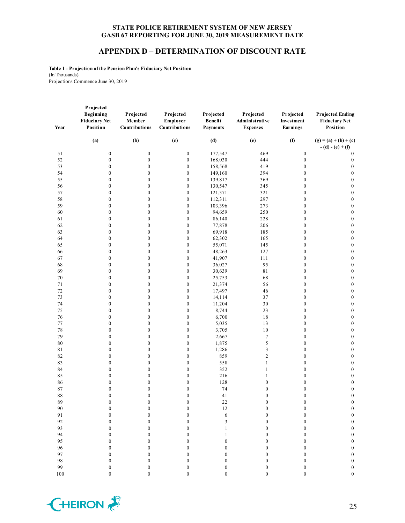#### **APPENDIX D – DETERMINATION OF DISCOUNT RATE**

**Table 1 - Projection of the Pension Plan's Fiduciary Net Position** (In Thousands) Projections Commence June 30, 2019

| Year        | Projected<br><b>Beginning</b><br><b>Fiduciary Net</b><br>Position | Projected<br>Member<br>Contributions | Projected<br>Employer<br>Contributions | Projected<br>Benefit<br><b>Payments</b> | Projected<br>Administrative<br><b>Expenses</b> | Projected<br>Investment<br>Earnings | <b>Projected Ending</b><br><b>Fiduciary Net</b><br>Position |
|-------------|-------------------------------------------------------------------|--------------------------------------|----------------------------------------|-----------------------------------------|------------------------------------------------|-------------------------------------|-------------------------------------------------------------|
|             | (a)                                                               | (b)                                  | $\left( \mathrm{c}\right)$             | (d)                                     | (e)                                            | (f)                                 | $(g) = (a) + (b) + (c)$<br>$- (d) - (e) + (f)$              |
| 51          | $\boldsymbol{0}$                                                  | $\boldsymbol{0}$                     | $\boldsymbol{0}$                       | 177,547                                 | 469                                            | $\boldsymbol{0}$                    | $\boldsymbol{0}$                                            |
| 52          | $\boldsymbol{0}$                                                  | $\boldsymbol{0}$                     | $\boldsymbol{0}$                       | 168,030                                 | 444                                            | $\boldsymbol{0}$                    | $\boldsymbol{0}$                                            |
| 53          | $\boldsymbol{0}$                                                  | $\boldsymbol{0}$                     | $\boldsymbol{0}$                       | 158,568                                 | 419                                            | $\boldsymbol{0}$                    | $\boldsymbol{0}$                                            |
| 54          | $\boldsymbol{0}$                                                  | $\boldsymbol{0}$                     | $\boldsymbol{0}$                       | 149,160                                 | 394                                            | $\boldsymbol{0}$                    | $\boldsymbol{0}$                                            |
| 55          | $\boldsymbol{0}$                                                  | $\boldsymbol{0}$                     | $\boldsymbol{0}$                       | 139,817                                 | 369                                            | $\boldsymbol{0}$                    | $\boldsymbol{0}$                                            |
| 56          | $\boldsymbol{0}$                                                  | $\boldsymbol{0}$                     | $\boldsymbol{0}$                       | 130,547                                 | 345                                            | $\boldsymbol{0}$                    | $\boldsymbol{0}$                                            |
| 57          | $\boldsymbol{0}$                                                  | $\boldsymbol{0}$                     | $\boldsymbol{0}$                       | 121,371                                 | 321                                            | $\boldsymbol{0}$                    | $\boldsymbol{0}$                                            |
| 58          | $\boldsymbol{0}$                                                  | $\boldsymbol{0}$                     | $\boldsymbol{0}$                       | 112,311                                 | 297                                            | $\boldsymbol{0}$                    | $\boldsymbol{0}$                                            |
| 59          | $\boldsymbol{0}$                                                  | $\boldsymbol{0}$                     | $\boldsymbol{0}$                       | 103,396                                 | 273                                            | $\boldsymbol{0}$                    | $\boldsymbol{0}$                                            |
| 60          | $\boldsymbol{0}$                                                  | $\boldsymbol{0}$                     | $\boldsymbol{0}$                       | 94,659                                  | 250                                            | $\boldsymbol{0}$                    | $\boldsymbol{0}$                                            |
| 61          | $\boldsymbol{0}$                                                  | $\boldsymbol{0}$                     | $\boldsymbol{0}$                       | 86,140                                  | 228                                            | $\boldsymbol{0}$                    | $\boldsymbol{0}$                                            |
| 62          | $\boldsymbol{0}$                                                  | $\boldsymbol{0}$                     | $\boldsymbol{0}$                       | 77,878                                  | 206                                            | $\boldsymbol{0}$                    | $\boldsymbol{0}$                                            |
| 63          | $\boldsymbol{0}$                                                  | $\boldsymbol{0}$                     | $\boldsymbol{0}$                       | 69,918                                  | 185                                            | $\boldsymbol{0}$                    | $\boldsymbol{0}$                                            |
| 64          | $\boldsymbol{0}$                                                  | $\boldsymbol{0}$                     | $\boldsymbol{0}$                       | 62,302                                  | 165                                            | $\boldsymbol{0}$                    | $\boldsymbol{0}$                                            |
| 65          | $\boldsymbol{0}$                                                  | $\boldsymbol{0}$                     | $\boldsymbol{0}$                       | 55,071                                  | 145                                            | $\boldsymbol{0}$                    | $\boldsymbol{0}$                                            |
| 66          | $\boldsymbol{0}$                                                  | $\boldsymbol{0}$                     | $\boldsymbol{0}$                       | 48,263                                  | 127                                            | $\boldsymbol{0}$                    | $\boldsymbol{0}$                                            |
| 67          | $\boldsymbol{0}$                                                  | $\boldsymbol{0}$                     | $\boldsymbol{0}$                       | 41,907                                  | 111                                            | $\boldsymbol{0}$                    | $\boldsymbol{0}$                                            |
| 68          | $\boldsymbol{0}$                                                  | $\boldsymbol{0}$                     | $\boldsymbol{0}$                       | 36,027                                  | 95                                             | $\boldsymbol{0}$                    | $\boldsymbol{0}$                                            |
| 69          | $\boldsymbol{0}$                                                  | $\boldsymbol{0}$                     | $\boldsymbol{0}$                       | 30,639                                  | $8\sqrt{1}$                                    | $\boldsymbol{0}$                    | $\boldsymbol{0}$                                            |
| 70          | $\boldsymbol{0}$                                                  | $\boldsymbol{0}$                     | $\boldsymbol{0}$                       | 25,753                                  | 68                                             | $\boldsymbol{0}$                    | $\boldsymbol{0}$                                            |
| 71          | $\boldsymbol{0}$                                                  | $\boldsymbol{0}$                     | $\boldsymbol{0}$                       | 21,374                                  | 56                                             | $\boldsymbol{0}$                    | $\boldsymbol{0}$                                            |
| $72\,$      | $\boldsymbol{0}$                                                  | $\boldsymbol{0}$                     | $\boldsymbol{0}$                       | 17,497                                  | 46                                             | $\boldsymbol{0}$                    | $\boldsymbol{0}$                                            |
| 73          | $\boldsymbol{0}$                                                  | $\boldsymbol{0}$                     | $\boldsymbol{0}$                       | 14,114                                  | 37                                             | $\boldsymbol{0}$                    | $\boldsymbol{0}$                                            |
| 74          | $\boldsymbol{0}$                                                  | $\boldsymbol{0}$                     | $\boldsymbol{0}$                       | 11,204                                  | $30\,$                                         | $\boldsymbol{0}$                    | $\boldsymbol{0}$                                            |
| 75          | $\boldsymbol{0}$                                                  | $\boldsymbol{0}$                     | $\boldsymbol{0}$                       | 8,744                                   | 23                                             | $\boldsymbol{0}$                    | $\boldsymbol{0}$                                            |
| 76          | $\boldsymbol{0}$                                                  | $\boldsymbol{0}$                     | $\boldsymbol{0}$                       | 6,700                                   | $18\,$                                         | $\boldsymbol{0}$                    | $\boldsymbol{0}$                                            |
| 77          | $\boldsymbol{0}$                                                  | $\boldsymbol{0}$                     | $\boldsymbol{0}$                       | 5,035                                   | 13                                             | $\boldsymbol{0}$                    | $\boldsymbol{0}$                                            |
| 78          | $\boldsymbol{0}$                                                  | $\boldsymbol{0}$                     | $\boldsymbol{0}$                       | 3,705                                   | 10                                             | $\boldsymbol{0}$                    | $\boldsymbol{0}$                                            |
| 79          | $\boldsymbol{0}$                                                  | $\boldsymbol{0}$                     | $\boldsymbol{0}$                       | 2,667                                   | $\tau$                                         | $\boldsymbol{0}$                    | $\boldsymbol{0}$                                            |
| 80          | $\boldsymbol{0}$                                                  | $\boldsymbol{0}$                     | $\boldsymbol{0}$                       | 1,875                                   | 5                                              | $\boldsymbol{0}$                    | $\boldsymbol{0}$                                            |
| 81          | $\boldsymbol{0}$                                                  | $\boldsymbol{0}$                     | $\boldsymbol{0}$                       | 1,286                                   | 3                                              | $\boldsymbol{0}$                    | $\boldsymbol{0}$                                            |
| 82          | $\boldsymbol{0}$                                                  | $\boldsymbol{0}$                     | $\boldsymbol{0}$                       | 859                                     | $\overline{c}$                                 | $\boldsymbol{0}$                    | $\boldsymbol{0}$                                            |
| 83          | $\boldsymbol{0}$                                                  | $\boldsymbol{0}$                     | $\boldsymbol{0}$                       | 558                                     | $\mathbf{1}$                                   | $\boldsymbol{0}$                    | $\boldsymbol{0}$                                            |
| 84          | $\boldsymbol{0}$                                                  | $\boldsymbol{0}$                     | $\boldsymbol{0}$                       | 352                                     | $\mathbf{1}$                                   | $\boldsymbol{0}$                    | $\boldsymbol{0}$                                            |
| 85          | $\boldsymbol{0}$                                                  | $\boldsymbol{0}$                     | $\boldsymbol{0}$                       | 216                                     | 1                                              | $\boldsymbol{0}$                    | $\boldsymbol{0}$                                            |
| 86          | $\boldsymbol{0}$                                                  | $\boldsymbol{0}$                     | $\boldsymbol{0}$                       | 128                                     | $\boldsymbol{0}$                               | $\boldsymbol{0}$                    | $\boldsymbol{0}$                                            |
| 87          | $\boldsymbol{0}$                                                  | $\boldsymbol{0}$                     | $\boldsymbol{0}$                       | 74                                      | $\boldsymbol{0}$                               | $\boldsymbol{0}$                    | $\boldsymbol{0}$                                            |
| $8\,8$      | $\boldsymbol{0}$                                                  | $\boldsymbol{0}$                     | $\boldsymbol{0}$                       | 41                                      | $\boldsymbol{0}$                               | $\boldsymbol{0}$                    | $\boldsymbol{0}$                                            |
| 89          | $\Omega$                                                          | $\Omega$                             | $\Omega$                               | 22                                      | $\Omega$                                       | $\Omega$                            | $\Omega$                                                    |
| 90          | $\boldsymbol{0}$                                                  | $\boldsymbol{0}$                     | $\boldsymbol{0}$                       | 12                                      | $\boldsymbol{0}$                               | $\boldsymbol{0}$                    | $\boldsymbol{0}$                                            |
| $9\sqrt{1}$ | $\boldsymbol{0}$                                                  | $\boldsymbol{0}$                     | $\boldsymbol{0}$                       | $\sqrt{6}$                              | $\boldsymbol{0}$                               | $\boldsymbol{0}$                    | $\boldsymbol{0}$                                            |
| 92          | $\boldsymbol{0}$                                                  | $\boldsymbol{0}$                     | $\boldsymbol{0}$                       | 3                                       | 0                                              | $\boldsymbol{0}$                    | $\boldsymbol{0}$                                            |
| 93          | $\boldsymbol{0}$                                                  | $\boldsymbol{0}$                     | $\boldsymbol{0}$                       | $\mathbf{1}$                            | $\overline{0}$                                 | $\boldsymbol{0}$                    | $\boldsymbol{0}$                                            |
| 94          | $\boldsymbol{0}$                                                  | $\boldsymbol{0}$                     | $\boldsymbol{0}$                       | $\mathbf{1}$                            | $\boldsymbol{0}$                               | $\boldsymbol{0}$                    | $\boldsymbol{0}$                                            |
| 95          | $\boldsymbol{0}$                                                  | $\boldsymbol{0}$                     | $\boldsymbol{0}$                       | $\boldsymbol{0}$                        | $\boldsymbol{0}$                               | $\boldsymbol{0}$                    | $\boldsymbol{0}$                                            |
| 96          | $\boldsymbol{0}$                                                  | $\boldsymbol{0}$                     | $\boldsymbol{0}$                       | $\boldsymbol{0}$                        | $\boldsymbol{0}$                               | $\boldsymbol{0}$                    | $\boldsymbol{0}$                                            |
| 97          | $\boldsymbol{0}$                                                  | $\boldsymbol{0}$                     | $\boldsymbol{0}$                       | $\boldsymbol{0}$                        | $\boldsymbol{0}$                               | $\boldsymbol{0}$                    | $\boldsymbol{0}$                                            |
| 98          | $\boldsymbol{0}$                                                  | $\boldsymbol{0}$                     | $\boldsymbol{0}$                       | $\boldsymbol{0}$                        | $\boldsymbol{0}$                               | $\boldsymbol{0}$                    | $\boldsymbol{0}$                                            |
| 99          | $\boldsymbol{0}$                                                  | $\boldsymbol{0}$                     | $\boldsymbol{0}$                       | $\boldsymbol{0}$                        | $\boldsymbol{0}$                               | $\boldsymbol{0}$                    | $\boldsymbol{0}$                                            |
| $100\,$     | $\boldsymbol{0}$                                                  | $\boldsymbol{0}$                     | $\boldsymbol{0}$                       | $\boldsymbol{0}$                        | $\boldsymbol{0}$                               | $\boldsymbol{0}$                    | $\boldsymbol{0}$                                            |

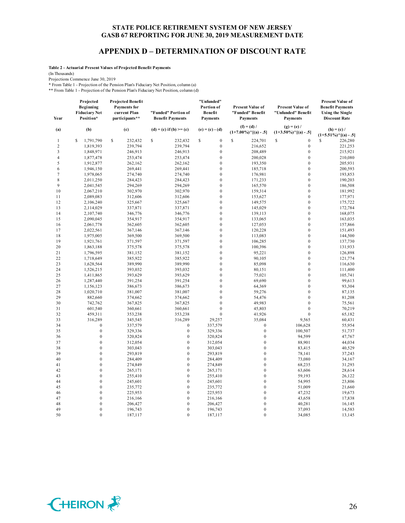#### **APPENDIX D – DETERMINATION OF DISCOUNT RATE**

**Table 2 - Actuarial Present Values of Projected Benefit Payments**

(In Thousands)

Projections Commence June 30, 2019

\* From Table 1 - Projection of the Pension Plan's Fiduciary Net Position, column (a)

\*\* From Table 1 - Projection of the Pension Plan's Fiduciary Net Position, column (d)

| Year           | Projected<br>Beginning<br><b>Fiduciary Net</b><br>Position* | <b>Projected Benefit</b><br><b>Payments</b> for<br>current Plan<br>participants** | "Funded" Portion of<br><b>Benefit Payments</b> | "Unfunded"<br>Portion of<br>Benefit<br><b>Payments</b> | <b>Present Value of</b><br>"Funded" Benefit<br><b>Payments</b> | <b>Present Value of</b><br>"Unfunded" Benefit<br><b>Payments</b> | <b>Present Value of</b><br><b>Benefit Payments</b><br><b>Using the Single</b><br><b>Discount Rate</b> |
|----------------|-------------------------------------------------------------|-----------------------------------------------------------------------------------|------------------------------------------------|--------------------------------------------------------|----------------------------------------------------------------|------------------------------------------------------------------|-------------------------------------------------------------------------------------------------------|
| (a)            | (b)                                                         | (c)                                                                               | $(d) = (c)$ if $(b) >= (c)$                    | $(e) = (c) - (d)$                                      | $(f) = (d) /$<br>$(1+7.00\%)$ <sup>^</sup> [(a) - .5]          | $(g) = (e) /$<br>$(1+3.50\%)$ <sup>^</sup> [(a) - .5]            | $(h) = (c) /$<br>$(1+5.51\%)$ <sup>^</sup> [(a) - .5]                                                 |
| $\mathbf{1}$   | 1,791,790<br>\$                                             | \$<br>232,432                                                                     | \$<br>232,432                                  | $\boldsymbol{0}$<br>\$                                 | \$<br>224,701                                                  | \$<br>$\boldsymbol{0}$                                           | S<br>226,280                                                                                          |
| $\overline{c}$ | 1,819,393                                                   | 239,794                                                                           | 239,794                                        | $\boldsymbol{0}$                                       | 216,652                                                        | $\mathbf{0}$                                                     | 221,253                                                                                               |
| 3              | 1,848,971                                                   | 246,913                                                                           | 246,913                                        | $\boldsymbol{0}$                                       | 208,489                                                        | $\boldsymbol{0}$                                                 | 215,921                                                                                               |
| $\overline{4}$ | 1,877,478                                                   | 253,474                                                                           | 253,474                                        | $\mathbf{0}$                                           | 200,028                                                        | $\mathbf{0}$                                                     | 210,080                                                                                               |
| 5              | 1,912,877                                                   | 262,162                                                                           | 262,162                                        | $\mathbf{0}$                                           | 193,350                                                        | $\mathbf{0}$                                                     | 205,931                                                                                               |
| 6              | 1,946,150                                                   | 269,441                                                                           | 269,441                                        | $\boldsymbol{0}$                                       | 185,718                                                        | $\boldsymbol{0}$                                                 | 200,593                                                                                               |
| $\tau$         | 1,978,065                                                   | 274,740                                                                           | 274,740                                        | $\boldsymbol{0}$                                       | 176,981                                                        | $\mathbf{0}$                                                     | 193,853                                                                                               |
| $\,$ 8 $\,$    | 2,011,250                                                   | 284,423                                                                           | 284,423                                        | $\boldsymbol{0}$                                       | 171,233                                                        | $\mathbf{0}$                                                     | 190,203                                                                                               |
| 9              | 2,041,545                                                   | 294,269                                                                           | 294,269                                        | $\overline{0}$                                         | 165,570                                                        | $\overline{0}$                                                   | 186,508                                                                                               |
| 10             | 2,067,210                                                   | 302,970                                                                           | 302,970                                        | $\boldsymbol{0}$                                       | 159,314                                                        | $\boldsymbol{0}$                                                 | 181,992                                                                                               |
| 11             | 2,089,083                                                   | 312,606                                                                           | 312,606                                        | $\mathbf{0}$                                           | 153,627                                                        | $\mathbf{0}$                                                     | 177,971                                                                                               |
| 12             | 2,106,240                                                   | 325,667                                                                           | 325,667                                        | $\boldsymbol{0}$                                       | 149,575                                                        | $\overline{0}$                                                   | 175,722                                                                                               |
| 13             | 2,114,029                                                   | 337,871                                                                           | 337,871                                        | $\boldsymbol{0}$                                       | 145,029                                                        | $\boldsymbol{0}$                                                 | 172,784                                                                                               |
| 14             | 2,107,740                                                   | 346,776                                                                           | 346,776                                        | $\boldsymbol{0}$                                       | 139,113                                                        | $\mathbf{0}$                                                     | 168,075                                                                                               |
| 15             | 2,090,045                                                   | 354,917                                                                           | 354,917                                        | $\boldsymbol{0}$                                       | 133,065                                                        | $\boldsymbol{0}$                                                 | 163,035                                                                                               |
| 16             | 2,061,778                                                   | 362,605                                                                           | 362,605                                        | $\overline{0}$                                         | 127,053                                                        | $\overline{0}$                                                   | 157,866                                                                                               |
| 17             | 2,022,561                                                   | 367,146                                                                           | 367,146                                        | $\boldsymbol{0}$                                       | 120,228                                                        | $\overline{0}$                                                   | 151,493                                                                                               |
| 18             | 1,975,005                                                   | 369,500                                                                           | 369,500                                        | $\mathbf{0}$                                           | 113,083                                                        | $\mathbf{0}$                                                     | 144,500                                                                                               |
| 19             | 1,921,761                                                   | 371,597                                                                           | 371,597                                        | $\boldsymbol{0}$                                       | 106,285                                                        | $\mathbf{0}$                                                     | 137,730                                                                                               |
| 20             | 1,863,188                                                   | 375,578                                                                           | 375,578                                        | $\mathbf{0}$                                           | 100,396                                                        | $\overline{0}$                                                   | 131,933                                                                                               |
| 21             |                                                             |                                                                                   |                                                | $\boldsymbol{0}$                                       |                                                                | $\overline{0}$                                                   |                                                                                                       |
| 22             | 1,796,595                                                   | 381,152                                                                           | 381,152                                        | $\boldsymbol{0}$                                       | 95,221                                                         | $\boldsymbol{0}$                                                 | 126,898                                                                                               |
| 23             | 1,718,649<br>1,628,564                                      | 385,922<br>389,990                                                                | 385,922<br>389,990                             | $\mathbf{0}$                                           | 90,105<br>85,098                                               | $\mathbf{0}$                                                     | 121,774                                                                                               |
| 24             |                                                             |                                                                                   |                                                | $\boldsymbol{0}$                                       |                                                                | $\boldsymbol{0}$                                                 | 116,630                                                                                               |
|                | 1,526,215                                                   | 393,032                                                                           | 393,032                                        | $\overline{0}$                                         | 80,151                                                         | $\overline{0}$                                                   | 111,400                                                                                               |
| 25             | 1,411,865                                                   | 393,629                                                                           | 393,629                                        |                                                        | 75,021                                                         |                                                                  | 105,741                                                                                               |
| 26<br>27       | 1,287,440                                                   | 391,254                                                                           | 391,254                                        | $\boldsymbol{0}$<br>$\mathbf{0}$                       | 69,690                                                         | $\boldsymbol{0}$<br>$\mathbf{0}$                                 | 99,613                                                                                                |
|                | 1,156,123                                                   | 386,673                                                                           | 386,673                                        | $\overline{0}$                                         | 64,369                                                         | $\overline{0}$                                                   | 93,304                                                                                                |
| 28             | 1,020,710                                                   | 381,007                                                                           | 381,007                                        | $\mathbf{0}$                                           | 59,276                                                         | $\overline{0}$                                                   | 87,135                                                                                                |
| 29             | 882,660                                                     | 374,662                                                                           | 374,662                                        | $\mathbf{0}$                                           | 54,476                                                         | $\overline{0}$                                                   | 81,208                                                                                                |
| 30             | 742,762                                                     | 367,825                                                                           | 367,825                                        |                                                        | 49,983                                                         |                                                                  | 75,561                                                                                                |
| 31             | 601,540                                                     | 360,661                                                                           | 360,661                                        | $\boldsymbol{0}$                                       | 45,803                                                         | $\boldsymbol{0}$                                                 | 70,219                                                                                                |
| 32             | 459,311                                                     | 353,238                                                                           | 353,238                                        | $\mathbf{0}$                                           | 41,926                                                         | $\mathbf{0}$                                                     | 65,182                                                                                                |
| 33             | 316,289                                                     | 345,545                                                                           | 316,289                                        | 29,257                                                 | 35,084                                                         | 9,565                                                            | 60,431                                                                                                |
| 34             | $\mathbf{0}$                                                | 337,579                                                                           | $\boldsymbol{0}$                               | 337,579                                                | $\boldsymbol{0}$                                               | 106,628                                                          | 55,954                                                                                                |
| 35             | $\boldsymbol{0}$                                            | 329,336                                                                           | $\boldsymbol{0}$                               | 329,336                                                | $\boldsymbol{0}$                                               | 100,507                                                          | 51,737                                                                                                |
| 36             | $\boldsymbol{0}$                                            | 320,824                                                                           | $\boldsymbol{0}$                               | 320,824                                                | $\mathbf{0}$                                                   | 94,599                                                           | 47,767                                                                                                |
| 37             | $\boldsymbol{0}$                                            | 312,054                                                                           | $\boldsymbol{0}$                               | 312,054                                                | $\boldsymbol{0}$                                               | 88,901                                                           | 44,034                                                                                                |
| 38             | $\boldsymbol{0}$                                            | 303,043                                                                           | $\boldsymbol{0}$                               | 303,043                                                | $\boldsymbol{0}$                                               | 83,415                                                           | 40,529                                                                                                |
| 39             | $\mathbf{0}$                                                | 293,819                                                                           | $\mathbf{0}$                                   | 293,819                                                | $\mathbf{0}$                                                   | 78,141                                                           | 37,243                                                                                                |
| 40             | $\boldsymbol{0}$                                            | 284,409                                                                           | $\boldsymbol{0}$                               | 284,409                                                | $\boldsymbol{0}$                                               | 73,080                                                           | 34,167                                                                                                |
| 41             | $\mathbf{0}$                                                | 274,849                                                                           | $\mathbf{0}$                                   | 274,849                                                | $\mathbf{0}$                                                   | 68,235                                                           | 31,293                                                                                                |
| 42             | $\boldsymbol{0}$                                            | 265,171                                                                           | $\boldsymbol{0}$                               | 265,171                                                | $\boldsymbol{0}$                                               | 63,606                                                           | 28,614                                                                                                |
| 43             | $\mathbf{0}$                                                | 255,410                                                                           | $\mathbf{0}$                                   | 255,410                                                | $\mathbf{0}$                                                   | 59,193                                                           | 26,122                                                                                                |
| 44             | $\mathbf{0}$                                                | 245,601                                                                           | $\boldsymbol{0}$                               | 245,601                                                | $\boldsymbol{0}$                                               | 54,995                                                           | 23,806                                                                                                |
| 45             | $\boldsymbol{0}$                                            | 235,772                                                                           | $\boldsymbol{0}$                               | 235,772                                                | $\mathbf{0}$                                                   | 51,009                                                           | 21,660                                                                                                |
| 46             | $\boldsymbol{0}$                                            | 225,953                                                                           | $\boldsymbol{0}$                               | 225,953                                                | $\boldsymbol{0}$                                               | 47,232                                                           | 19,673                                                                                                |
| 47             | $\boldsymbol{0}$                                            | 216,166                                                                           | $\boldsymbol{0}$                               | 216,166                                                | $\boldsymbol{0}$                                               | 43,658                                                           | 17,838                                                                                                |
| 48             | $\boldsymbol{0}$                                            | 206,427                                                                           | $\boldsymbol{0}$                               | 206,427                                                | $\boldsymbol{0}$                                               | 40,281                                                           | 16,145                                                                                                |
| 49             | $\boldsymbol{0}$                                            | 196,743                                                                           | $\boldsymbol{0}$                               | 196,743                                                | $\boldsymbol{0}$                                               | 37,093                                                           | 14,583                                                                                                |
| 50             | $\theta$                                                    | 187,117                                                                           | $\theta$                                       | 187,117                                                | $\theta$                                                       | 34,085                                                           | 13,145                                                                                                |

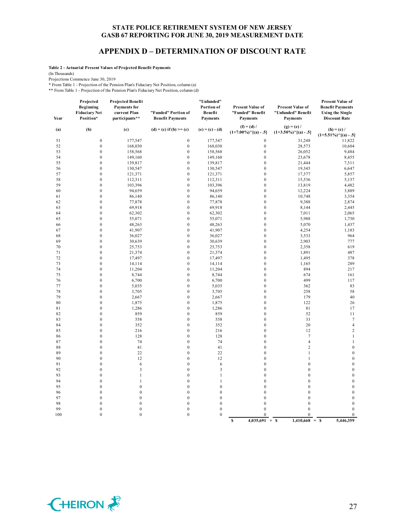#### **APPENDIX D – DETERMINATION OF DISCOUNT RATE**

**Table 2 - Actuarial Present Values of Projected Benefit Payments**

(In Thousands)

Projections Commence June 30, 2019

\* From Table 1 - Projection of the Pension Plan's Fiduciary Net Position, column (a)

\*\* From Table 1 - Projection of the Pension Plan's Fiduciary Net Position, column (d)

| Year     | Projected<br>Beginning<br><b>Fiduciary Net</b><br>Position* | <b>Projected Benefit</b><br><b>Payments</b> for<br>current Plan<br>participants** | "Funded" Portion of<br><b>Benefit Payments</b> | "Unfunded"<br>Portion of<br>Benefit<br><b>Payments</b> | <b>Present Value of</b><br>"Funded" Benefit<br><b>Payments</b> | <b>Present Value of</b><br>"Unfunded" Benefit<br><b>Payments</b> | <b>Present Value of</b><br><b>Benefit Payments</b><br><b>Using the Single</b><br><b>Discount Rate</b> |
|----------|-------------------------------------------------------------|-----------------------------------------------------------------------------------|------------------------------------------------|--------------------------------------------------------|----------------------------------------------------------------|------------------------------------------------------------------|-------------------------------------------------------------------------------------------------------|
| (a)      | (b)                                                         | (c)                                                                               | $(d) = (c)$ if $(b) >= (c)$                    | $(e) = (c) - (d)$                                      | $(f) = (d) /$<br>$(1+7.00\%)^{\wedge}[(a) - .5]$               | $(g) = (e) /$<br>$(1+3.50\%)$ <sup>^</sup> [(a) - .5]            | $(h) = (c) /$<br>$(1+5.51\%)$ <sup>{</sup> [(a) - .5]                                                 |
| 51       | $\boldsymbol{0}$                                            | 177,547                                                                           | $\boldsymbol{0}$                               | 177,547                                                | $\boldsymbol{0}$                                               | 31,248                                                           | 11,822                                                                                                |
| 52       | $\boldsymbol{0}$                                            | 168,030                                                                           | $\boldsymbol{0}$                               | 168,030                                                | $\boldsymbol{0}$                                               | 28,573                                                           | 10,604                                                                                                |
| 53       | $\boldsymbol{0}$                                            | 158,568                                                                           | $\mathbf{0}$                                   | 158,568                                                | $\boldsymbol{0}$                                               | 26,052                                                           | 9,484                                                                                                 |
| 54       | $\mathbf{0}$                                                | 149,160                                                                           | $\mathbf{0}$                                   | 149,160                                                | $\mathbf{0}$                                                   | 23,678                                                           | 8,455                                                                                                 |
| 55       | $\boldsymbol{0}$                                            | 139,817                                                                           | $\mathbf{0}$                                   | 139,817                                                | $\boldsymbol{0}$                                               | 21,444                                                           | 7,511                                                                                                 |
| 56       | $\mathbf{0}$                                                | 130,547                                                                           | $\mathbf{0}$                                   | 130,547                                                | $\mathbf{0}$                                                   | 19,345                                                           | 6,647                                                                                                 |
| 57       | $\boldsymbol{0}$                                            | 121,371                                                                           | $\mathbf{0}$                                   | 121,371                                                | $\mathbf{0}$                                                   | 17,377                                                           | 5,857                                                                                                 |
| 58       | $\boldsymbol{0}$                                            | 112,311                                                                           | $\boldsymbol{0}$                               | 112,311                                                | $\boldsymbol{0}$                                               | 15,536                                                           | 5,137                                                                                                 |
| 59       | $\boldsymbol{0}$                                            | 103,396                                                                           | $\boldsymbol{0}$                               | 103,396                                                | $\boldsymbol{0}$                                               | 13,819                                                           | 4,482                                                                                                 |
| 60       | $\boldsymbol{0}$                                            | 94,659                                                                            | $\boldsymbol{0}$                               | 94,659                                                 | $\boldsymbol{0}$                                               | 12,224                                                           | 3,889                                                                                                 |
| 61       | $\boldsymbol{0}$                                            | 86,140                                                                            | $\boldsymbol{0}$                               | 86,140                                                 | $\boldsymbol{0}$                                               | 10,748                                                           | 3,354                                                                                                 |
| 62       | $\boldsymbol{0}$                                            | 77,878                                                                            | $\boldsymbol{0}$                               | 77,878                                                 | $\boldsymbol{0}$                                               | 9,388                                                            | 2,874                                                                                                 |
| 63       | $\boldsymbol{0}$                                            | 69,918                                                                            | $\boldsymbol{0}$                               | 69,918                                                 | $\boldsymbol{0}$                                               | 8,144                                                            | 2,445                                                                                                 |
| 64       | $\mathbf{0}$                                                | 62,302                                                                            | $\mathbf{0}$                                   | 62,302                                                 | $\mathbf{0}$                                                   | 7,011                                                            | 2,065                                                                                                 |
| 65       | $\boldsymbol{0}$                                            | 55,071                                                                            | $\mathbf{0}$                                   | 55,071                                                 | $\boldsymbol{0}$                                               | 5,988                                                            | 1,730                                                                                                 |
| 66       | $\boldsymbol{0}$                                            | 48,263                                                                            | $\boldsymbol{0}$                               | 48,263                                                 | $\boldsymbol{0}$                                               | 5,070                                                            | 1,437                                                                                                 |
| 67       | $\boldsymbol{0}$                                            | 41,907                                                                            | $\mathbf{0}$                                   | 41,907                                                 | $\boldsymbol{0}$                                               | 4,254                                                            | 1,183                                                                                                 |
| 68       | $\boldsymbol{0}$                                            | 36,027                                                                            | $\mathbf{0}$                                   | 36,027                                                 | $\boldsymbol{0}$                                               | 3,533                                                            | 964                                                                                                   |
| 69       | $\boldsymbol{0}$                                            | 30,639                                                                            | $\mathbf{0}$                                   | 30,639                                                 | $\boldsymbol{0}$                                               | 2,903                                                            | 777                                                                                                   |
| 70<br>71 | $\boldsymbol{0}$<br>$\boldsymbol{0}$                        | 25,753<br>21,374                                                                  | $\boldsymbol{0}$<br>$\boldsymbol{0}$           | 25,753<br>21,374                                       | $\boldsymbol{0}$<br>$\boldsymbol{0}$                           | 2,358<br>1,891                                                   | 619<br>487                                                                                            |
| 72       | $\boldsymbol{0}$                                            | 17,497                                                                            | $\boldsymbol{0}$                               | 17,497                                                 | $\boldsymbol{0}$                                               | 1,495                                                            | 378                                                                                                   |
| 73       | $\boldsymbol{0}$                                            | 14,114                                                                            | $\boldsymbol{0}$                               | 14,114                                                 | $\boldsymbol{0}$                                               | 1,165                                                            | 289                                                                                                   |
| 74       | $\boldsymbol{0}$                                            | 11,204                                                                            | $\boldsymbol{0}$                               | 11,204                                                 | $\boldsymbol{0}$                                               | 894                                                              | 217                                                                                                   |
| 75       | $\mathbf{0}$                                                | 8,744                                                                             | $\mathbf{0}$                                   | 8,744                                                  | $\boldsymbol{0}$                                               | 674                                                              | 161                                                                                                   |
| 76       | $\mathbf{0}$                                                | 6,700                                                                             | $\mathbf{0}$                                   | 6,700                                                  | $\mathbf{0}$                                                   | 499                                                              | 117                                                                                                   |
| 77       | $\boldsymbol{0}$                                            | 5,035                                                                             | $\boldsymbol{0}$                               | 5,035                                                  | $\boldsymbol{0}$                                               | 362                                                              | 83                                                                                                    |
| 78       | $\boldsymbol{0}$                                            | 3,705                                                                             | $\mathbf{0}$                                   | 3,705                                                  | $\boldsymbol{0}$                                               | 258                                                              | 58                                                                                                    |
| 79       | $\boldsymbol{0}$                                            | 2,667                                                                             | $\boldsymbol{0}$                               | 2,667                                                  | $\boldsymbol{0}$                                               | 179                                                              | 40                                                                                                    |
| 80       | $\boldsymbol{0}$                                            | 1,875                                                                             | $\boldsymbol{0}$                               | 1,875                                                  | $\boldsymbol{0}$                                               | 122                                                              | 26                                                                                                    |
| 81       | $\boldsymbol{0}$                                            | 1,286                                                                             | $\mathbf{0}$                                   | 1,286                                                  | $\boldsymbol{0}$                                               | 81                                                               | 17                                                                                                    |
| 82       | $\boldsymbol{0}$                                            | 859                                                                               | $\boldsymbol{0}$                               | 859                                                    | $\boldsymbol{0}$                                               | 52                                                               | 11                                                                                                    |
| 83       | $\boldsymbol{0}$                                            | 558                                                                               | $\boldsymbol{0}$                               | 558                                                    | $\boldsymbol{0}$                                               | 33                                                               | $\tau$                                                                                                |
| 84       | $\boldsymbol{0}$                                            | 352                                                                               | $\boldsymbol{0}$                               | 352                                                    | $\boldsymbol{0}$                                               | 20                                                               | $\overline{4}$                                                                                        |
| 85       | $\boldsymbol{0}$                                            | 216                                                                               | $\boldsymbol{0}$                               | 216                                                    | $\boldsymbol{0}$                                               | 12                                                               | $\sqrt{2}$                                                                                            |
| 86       | $\mathbf{0}$                                                | 128                                                                               | $\mathbf{0}$                                   | 128                                                    | $\mathbf{0}$                                                   | $\tau$                                                           | $\,1\,$                                                                                               |
| 87       | $\mathbf{0}$                                                | 74                                                                                | $\mathbf{0}$                                   | 74                                                     | $\boldsymbol{0}$                                               | $\overline{4}$                                                   | $\mathbf{1}$                                                                                          |
| 88       | $\mathbf{0}$                                                | 41                                                                                | $\mathbf{0}$                                   | 41                                                     | $\mathbf{0}$                                                   | $\overline{c}$                                                   | $\boldsymbol{0}$                                                                                      |
| 89       | $\boldsymbol{0}$                                            | 22                                                                                | $\boldsymbol{0}$                               | 22                                                     | $\boldsymbol{0}$                                               | $\mathbf{1}$                                                     | $\boldsymbol{0}$                                                                                      |
| 90       | $\boldsymbol{0}$                                            | 12                                                                                | $\boldsymbol{0}$                               | 12                                                     | $\boldsymbol{0}$                                               | $\mathbf{1}$                                                     | $\boldsymbol{0}$                                                                                      |
| 91       | $\boldsymbol{0}$                                            | 6                                                                                 | $\boldsymbol{0}$                               | 6                                                      | $\boldsymbol{0}$                                               | $\boldsymbol{0}$                                                 | $\boldsymbol{0}$                                                                                      |
| 92       | $\boldsymbol{0}$                                            | 3                                                                                 | $\boldsymbol{0}$                               | 3                                                      | $\boldsymbol{0}$                                               | $\boldsymbol{0}$                                                 | $\boldsymbol{0}$                                                                                      |
| 93       | $\boldsymbol{0}$                                            | $\mathbf{1}$                                                                      | $\mathbf{0}$                                   | $\mathbf{1}$                                           | $\boldsymbol{0}$                                               | $\boldsymbol{0}$                                                 | $\boldsymbol{0}$                                                                                      |
| 94       | $\boldsymbol{0}$                                            | $\mathbf{1}$                                                                      | $\boldsymbol{0}$                               | 1                                                      | $\boldsymbol{0}$                                               | $\boldsymbol{0}$                                                 | $\boldsymbol{0}$                                                                                      |
| 95       | $\boldsymbol{0}$                                            | $\boldsymbol{0}$                                                                  | $\boldsymbol{0}$                               | $\boldsymbol{0}$                                       | $\boldsymbol{0}$                                               | $\boldsymbol{0}$                                                 | $\boldsymbol{0}$                                                                                      |
| 96       | $\boldsymbol{0}$                                            | $\boldsymbol{0}$                                                                  | $\boldsymbol{0}$                               | $\boldsymbol{0}$                                       | $\boldsymbol{0}$                                               | $\boldsymbol{0}$                                                 | $\boldsymbol{0}$                                                                                      |
| 97       | $\mathbf{0}$                                                | $\boldsymbol{0}$                                                                  | $\mathbf{0}$                                   | $\mathbf{0}$                                           | $\boldsymbol{0}$                                               | $\mathbf{0}$                                                     | $\boldsymbol{0}$                                                                                      |
| 98       | $\mathbf{0}$                                                | $\mathbf{0}$                                                                      | $\mathbf{0}$                                   | $\overline{0}$                                         | $\mathbf{0}$                                                   | $\mathbf{0}$                                                     | $\mathbf{0}$                                                                                          |
| 99       | $\boldsymbol{0}$                                            | $\boldsymbol{0}$                                                                  | $\boldsymbol{0}$                               | $\mathbf{0}$                                           | $\mathbf{0}$                                                   | $\mathbf{0}$                                                     | $\boldsymbol{0}$                                                                                      |
| 100      | $\mathbf{0}$                                                | $\mathbf{0}$                                                                      | $\mathbf{0}$                                   | $\mathbf{0}$                                           | $\mathbf{0}$                                                   | $\mathbf{0}$                                                     | $\mathbf{0}$                                                                                          |
|          |                                                             |                                                                                   |                                                |                                                        | $4,035,691 + S$<br>$\mathbf S$                                 | $1,410,668 = S$                                                  | 5,446,359                                                                                             |

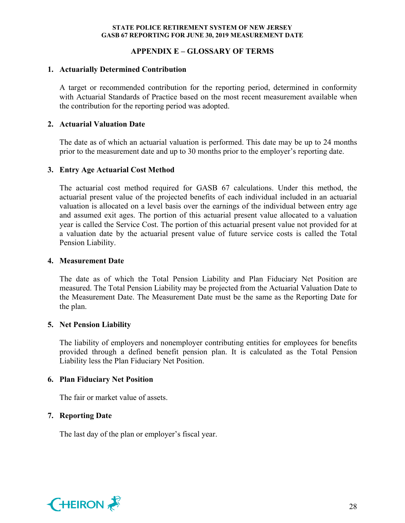## **APPENDIX E – GLOSSARY OF TERMS**

#### **1. Actuarially Determined Contribution**

A target or recommended contribution for the reporting period, determined in conformity with Actuarial Standards of Practice based on the most recent measurement available when the contribution for the reporting period was adopted.

## **2. Actuarial Valuation Date**

The date as of which an actuarial valuation is performed. This date may be up to 24 months prior to the measurement date and up to 30 months prior to the employer's reporting date.

# **3. Entry Age Actuarial Cost Method**

The actuarial cost method required for GASB 67 calculations. Under this method, the actuarial present value of the projected benefits of each individual included in an actuarial valuation is allocated on a level basis over the earnings of the individual between entry age and assumed exit ages. The portion of this actuarial present value allocated to a valuation year is called the Service Cost. The portion of this actuarial present value not provided for at a valuation date by the actuarial present value of future service costs is called the Total Pension Liability.

#### **4. Measurement Date**

The date as of which the Total Pension Liability and Plan Fiduciary Net Position are measured. The Total Pension Liability may be projected from the Actuarial Valuation Date to the Measurement Date. The Measurement Date must be the same as the Reporting Date for the plan.

#### **5. Net Pension Liability**

The liability of employers and nonemployer contributing entities for employees for benefits provided through a defined benefit pension plan. It is calculated as the Total Pension Liability less the Plan Fiduciary Net Position.

#### **6. Plan Fiduciary Net Position**

The fair or market value of assets.

# **7. Reporting Date**

The last day of the plan or employer's fiscal year.